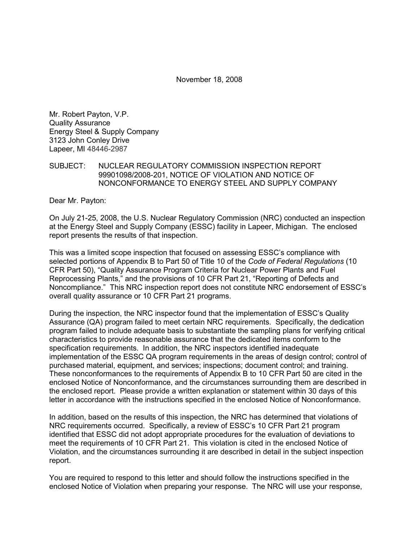November 18, 2008

Mr. Robert Payton, V.P. Quality Assurance Energy Steel & Supply Company 3123 John Conley Drive Lapeer, MI 48446-2987

#### SUBJECT: NUCLEAR REGULATORY COMMISSION INSPECTION REPORT 99901098/2008-201, NOTICE OF VIOLATION AND NOTICE OF NONCONFORMANCE TO ENERGY STEEL AND SUPPLY COMPANY

Dear Mr. Payton:

On July 21-25, 2008, the U.S. Nuclear Regulatory Commission (NRC) conducted an inspection at the Energy Steel and Supply Company (ESSC) facility in Lapeer, Michigan. The enclosed report presents the results of that inspection.

This was a limited scope inspection that focused on assessing ESSC's compliance with selected portions of Appendix B to Part 50 of Title 10 of the *Code of Federal Regulations* (10 CFR Part 50), "Quality Assurance Program Criteria for Nuclear Power Plants and Fuel Reprocessing Plants," and the provisions of 10 CFR Part 21, "Reporting of Defects and Noncompliance." This NRC inspection report does not constitute NRC endorsement of ESSC's overall quality assurance or 10 CFR Part 21 programs.

During the inspection, the NRC inspector found that the implementation of ESSC's Quality Assurance (QA) program failed to meet certain NRC requirements. Specifically, the dedication program failed to include adequate basis to substantiate the sampling plans for verifying critical characteristics to provide reasonable assurance that the dedicated items conform to the specification requirements. In addition, the NRC inspectors identified inadequate implementation of the ESSC QA program requirements in the areas of design control; control of purchased material, equipment, and services; inspections; document control; and training. These nonconformances to the requirements of Appendix B to 10 CFR Part 50 are cited in the enclosed Notice of Nonconformance, and the circumstances surrounding them are described in the enclosed report. Please provide a written explanation or statement within 30 days of this letter in accordance with the instructions specified in the enclosed Notice of Nonconformance.

In addition, based on the results of this inspection, the NRC has determined that violations of NRC requirements occurred. Specifically, a review of ESSC's 10 CFR Part 21 program identified that ESSC did not adopt appropriate procedures for the evaluation of deviations to meet the requirements of 10 CFR Part 21. This violation is cited in the enclosed Notice of Violation, and the circumstances surrounding it are described in detail in the subject inspection report.

You are required to respond to this letter and should follow the instructions specified in the enclosed Notice of Violation when preparing your response. The NRC will use your response,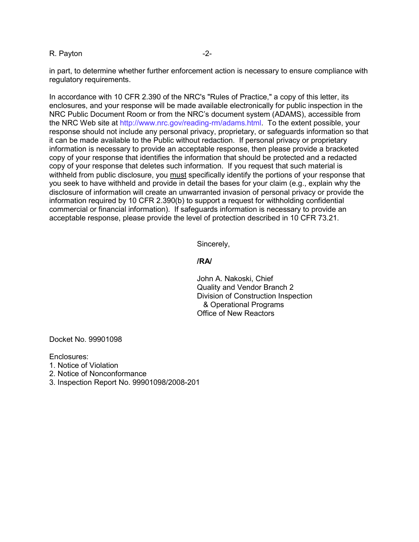#### R. Payton **-2-**

in part, to determine whether further enforcement action is necessary to ensure compliance with regulatory requirements.

In accordance with 10 CFR 2.390 of the NRC's "Rules of Practice," a copy of this letter, its enclosures, and your response will be made available electronically for public inspection in the NRC Public Document Room or from the NRC's document system (ADAMS), accessible from the NRC Web site at http://www.nrc.gov/reading-rm/adams.html. To the extent possible, your response should not include any personal privacy, proprietary, or safeguards information so that it can be made available to the Public without redaction. If personal privacy or proprietary information is necessary to provide an acceptable response, then please provide a bracketed copy of your response that identifies the information that should be protected and a redacted copy of your response that deletes such information. If you request that such material is withheld from public disclosure, you must specifically identify the portions of your response that you seek to have withheld and provide in detail the bases for your claim (e.g., explain why the disclosure of information will create an unwarranted invasion of personal privacy or provide the information required by 10 CFR 2.390(b) to support a request for withholding confidential commercial or financial information). If safeguards information is necessary to provide an acceptable response, please provide the level of protection described in 10 CFR 73.21.

Sincerely,

#### **/RA/**

John A. Nakoski, Chief Quality and Vendor Branch 2 Division of Construction Inspection & Operational Programs Office of New Reactors

Docket No. 99901098

Enclosures:

- 1. Notice of Violation
- 2. Notice of Nonconformance
- 3. Inspection Report No. 99901098/2008-201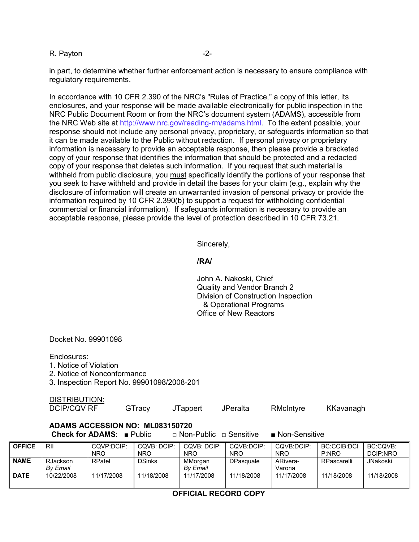#### R. Payton **-2-**

in part, to determine whether further enforcement action is necessary to ensure compliance with regulatory requirements.

In accordance with 10 CFR 2.390 of the NRC's "Rules of Practice," a copy of this letter, its enclosures, and your response will be made available electronically for public inspection in the NRC Public Document Room or from the NRC's document system (ADAMS), accessible from the NRC Web site at http://www.nrc.gov/reading-rm/adams.html. To the extent possible, your response should not include any personal privacy, proprietary, or safeguards information so that it can be made available to the Public without redaction. If personal privacy or proprietary information is necessary to provide an acceptable response, then please provide a bracketed copy of your response that identifies the information that should be protected and a redacted copy of your response that deletes such information. If you request that such material is withheld from public disclosure, you must specifically identify the portions of your response that you seek to have withheld and provide in detail the bases for your claim (e.g., explain why the disclosure of information will create an unwarranted invasion of personal privacy or provide the information required by 10 CFR 2.390(b) to support a request for withholding confidential commercial or financial information). If safeguards information is necessary to provide an acceptable response, please provide the level of protection described in 10 CFR 73.21.

Sincerely,

#### **/RA/**

John A. Nakoski, Chief Quality and Vendor Branch 2 Division of Construction Inspection & Operational Programs Office of New Reactors

Docket No. 99901098

Enclosures:

- 1. Notice of Violation
- 2. Notice of Nonconformance
- 3. Inspection Report No. 99901098/2008-201

|               | <b>DISTRIBUTION:</b><br><b>DCIP/CQV RF</b> |                                                                                  | GTracy                    | JTappert                           | JPeralta                 | RMcIntyre                    | KKavanagh                   |                    |
|---------------|--------------------------------------------|----------------------------------------------------------------------------------|---------------------------|------------------------------------|--------------------------|------------------------------|-----------------------------|--------------------|
|               |                                            | ADAMS ACCESSION NO: ML083150720<br><b>Check for ADAMS:</b> $\blacksquare$ Public |                           | $\Box$ Non-Public $\Box$ Sensitive |                          | $\blacksquare$ Non-Sensitive |                             |                    |
| <b>OFFICE</b> | RII                                        | CQVP:DCIP:<br><b>NRO</b>                                                         | CQVB: DCIP:<br><b>NRO</b> | CQVB: DCIP:<br><b>NRO</b>          | CQVB:DCIP:<br><b>NRO</b> | COVB:DCIP:<br><b>NRO</b>     | <b>BC:CCIB:DCI</b><br>P:NRO | BC:<br><b>DCII</b> |

| <b>OFFICE</b> | RII             | CQVP:DCIP: | COVB: DCIP:   | COVB: DCIP: | COVB:DCIP: | COVB:DCIP: | BC:CCIB:DCI | BC:COVB:        |
|---------------|-----------------|------------|---------------|-------------|------------|------------|-------------|-----------------|
|               |                 | <b>NRO</b> | <b>NRO</b>    | <b>NRO</b>  | <b>NRO</b> | <b>NRO</b> | P:NRO       | DCIP:NRO        |
| <b>NAME</b>   | <b>RJackson</b> | RPatel     | <b>DSinks</b> | MMorgan     | DPasquale  | ARivera-   | RPascarelli | <b>JNakoski</b> |
|               | By Email        |            |               | By Email    |            | Varona     |             |                 |
| <b>DATE</b>   | 10/22/2008      | 11/17/2008 | 11/18/2008    | 11/17/2008  | 11/18/2008 | 11/17/2008 | 11/18/2008  | 11/18/2008      |

#### **OFFICIAL RECORD COPY**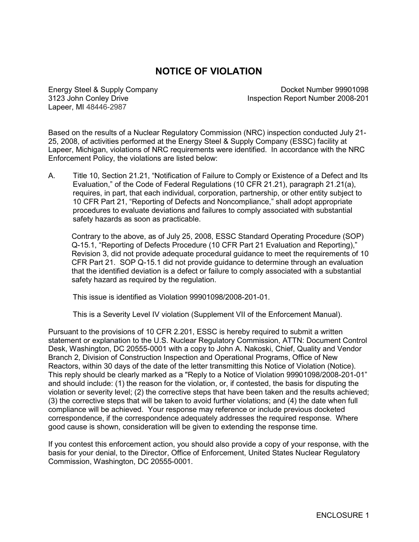# **NOTICE OF VIOLATION**

Lapeer, MI 48446-2987

Energy Steel & Supply Company Docket Number 99901098 3123 John Conley Drive **Inspection Report Number 2008-201** 

Based on the results of a Nuclear Regulatory Commission (NRC) inspection conducted July 21- 25, 2008, of activities performed at the Energy Steel & Supply Company (ESSC) facility at Lapeer, Michigan, violations of NRC requirements were identified. In accordance with the NRC Enforcement Policy, the violations are listed below:

A. Title 10, Section 21.21, "Notification of Failure to Comply or Existence of a Defect and Its Evaluation," of the Code of Federal Regulations (10 CFR 21.21), paragraph 21.21(a), requires, in part, that each individual, corporation, partnership, or other entity subject to 10 CFR Part 21, "Reporting of Defects and Noncompliance," shall adopt appropriate procedures to evaluate deviations and failures to comply associated with substantial safety hazards as soon as practicable.

Contrary to the above, as of July 25, 2008, ESSC Standard Operating Procedure (SOP) Q-15.1, "Reporting of Defects Procedure (10 CFR Part 21 Evaluation and Reporting)," Revision 3, did not provide adequate procedural guidance to meet the requirements of 10 CFR Part 21. SOP Q-15.1 did not provide guidance to determine through an evaluation that the identified deviation is a defect or failure to comply associated with a substantial safety hazard as required by the regulation.

This issue is identified as Violation 99901098/2008-201-01.

This is a Severity Level IV violation (Supplement VII of the Enforcement Manual).

Pursuant to the provisions of 10 CFR 2.201, ESSC is hereby required to submit a written statement or explanation to the U.S. Nuclear Regulatory Commission, ATTN: Document Control Desk, Washington, DC 20555-0001 with a copy to John A. Nakoski, Chief, Quality and Vendor Branch 2, Division of Construction Inspection and Operational Programs, Office of New Reactors, within 30 days of the date of the letter transmitting this Notice of Violation (Notice). This reply should be clearly marked as a "Reply to a Notice of Violation 99901098/2008-201-01" and should include: (1) the reason for the violation, or, if contested, the basis for disputing the violation or severity level; (2) the corrective steps that have been taken and the results achieved; (3) the corrective steps that will be taken to avoid further violations; and (4) the date when full compliance will be achieved. Your response may reference or include previous docketed correspondence, if the correspondence adequately addresses the required response. Where good cause is shown, consideration will be given to extending the response time.

If you contest this enforcement action, you should also provide a copy of your response, with the basis for your denial, to the Director, Office of Enforcement, United States Nuclear Regulatory Commission, Washington, DC 20555-0001.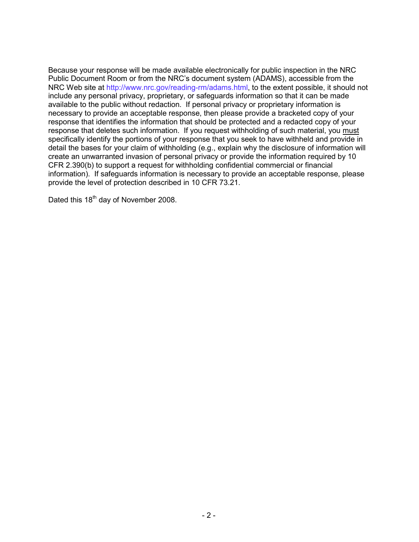Because your response will be made available electronically for public inspection in the NRC Public Document Room or from the NRC's document system (ADAMS), accessible from the NRC Web site at http://www.nrc.gov/reading-rm/adams.html, to the extent possible, it should not include any personal privacy, proprietary, or safeguards information so that it can be made available to the public without redaction. If personal privacy or proprietary information is necessary to provide an acceptable response, then please provide a bracketed copy of your response that identifies the information that should be protected and a redacted copy of your response that deletes such information. If you request withholding of such material, you must specifically identify the portions of your response that you seek to have withheld and provide in detail the bases for your claim of withholding (e.g., explain why the disclosure of information will create an unwarranted invasion of personal privacy or provide the information required by 10 CFR 2.390(b) to support a request for withholding confidential commercial or financial information). If safeguards information is necessary to provide an acceptable response, please provide the level of protection described in 10 CFR 73.21.

Dated this 18<sup>th</sup> day of November 2008.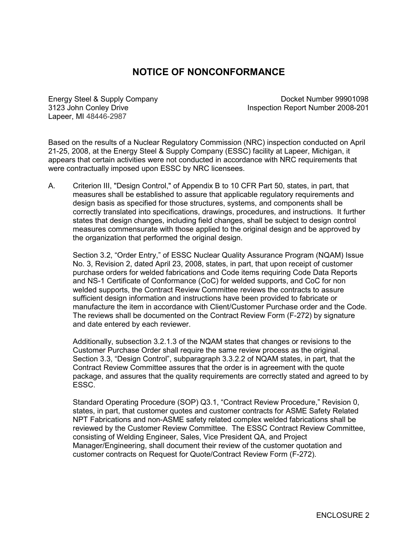# **NOTICE OF NONCONFORMANCE**

Lapeer, MI 48446-2987

Energy Steel & Supply Company Docket Number 99901098 3123 John Conley Drive Inspection Report Number 2008-201

Based on the results of a Nuclear Regulatory Commission (NRC) inspection conducted on April 21-25, 2008, at the Energy Steel & Supply Company (ESSC) facility at Lapeer, Michigan, it appears that certain activities were not conducted in accordance with NRC requirements that were contractually imposed upon ESSC by NRC licensees.

A. Criterion III, "Design Control," of Appendix B to 10 CFR Part 50, states, in part, that measures shall be established to assure that applicable regulatory requirements and design basis as specified for those structures, systems, and components shall be correctly translated into specifications, drawings, procedures, and instructions. It further states that design changes, including field changes, shall be subject to design control measures commensurate with those applied to the original design and be approved by the organization that performed the original design.

Section 3.2, "Order Entry," of ESSC Nuclear Quality Assurance Program (NQAM) Issue No. 3, Revision 2, dated April 23, 2008, states, in part, that upon receipt of customer purchase orders for welded fabrications and Code items requiring Code Data Reports and NS-1 Certificate of Conformance (CoC) for welded supports, and CoC for non welded supports, the Contract Review Committee reviews the contracts to assure sufficient design information and instructions have been provided to fabricate or manufacture the item in accordance with Client/Customer Purchase order and the Code. The reviews shall be documented on the Contract Review Form (F-272) by signature and date entered by each reviewer.

Additionally, subsection 3.2.1.3 of the NQAM states that changes or revisions to the Customer Purchase Order shall require the same review process as the original. Section 3.3, "Design Control", subparagraph 3.3.2.2 of NQAM states, in part, that the Contract Review Committee assures that the order is in agreement with the quote package, and assures that the quality requirements are correctly stated and agreed to by ESSC.

Standard Operating Procedure (SOP) Q3.1, "Contract Review Procedure," Revision 0, states, in part, that customer quotes and customer contracts for ASME Safety Related NPT Fabrications and non-ASME safety related complex welded fabrications shall be reviewed by the Customer Review Committee. The ESSC Contract Review Committee, consisting of Welding Engineer, Sales, Vice President QA, and Project Manager/Engineering, shall document their review of the customer quotation and customer contracts on Request for Quote/Contract Review Form (F-272).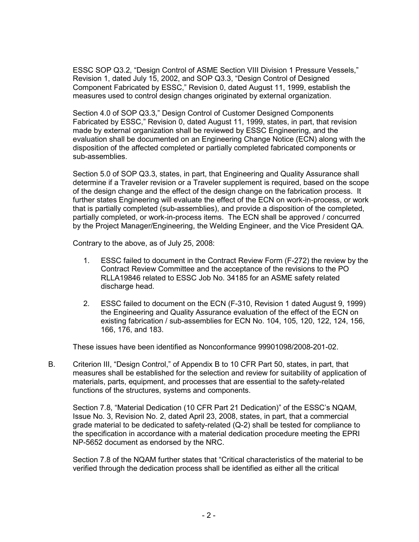ESSC SOP Q3.2, "Design Control of ASME Section VIII Division 1 Pressure Vessels," Revision 1, dated July 15, 2002, and SOP Q3.3, "Design Control of Designed Component Fabricated by ESSC," Revision 0, dated August 11, 1999, establish the measures used to control design changes originated by external organization.

Section 4.0 of SOP Q3.3," Design Control of Customer Designed Components Fabricated by ESSC," Revision 0, dated August 11, 1999, states, in part, that revision made by external organization shall be reviewed by ESSC Engineering, and the evaluation shall be documented on an Engineering Change Notice (ECN) along with the disposition of the affected completed or partially completed fabricated components or sub-assemblies.

Section 5.0 of SOP Q3.3, states, in part, that Engineering and Quality Assurance shall determine if a Traveler revision or a Traveler supplement is required, based on the scope of the design change and the effect of the design change on the fabrication process. It further states Engineering will evaluate the effect of the ECN on work-in-process, or work that is partially completed (sub-assemblies), and provide a disposition of the completed, partially completed, or work-in-process items. The ECN shall be approved / concurred by the Project Manager/Engineering, the Welding Engineer, and the Vice President QA.

Contrary to the above, as of July 25, 2008:

- 1. ESSC failed to document in the Contract Review Form (F-272) the review by the Contract Review Committee and the acceptance of the revisions to the PO RLLA19846 related to ESSC Job No. 34185 for an ASME safety related discharge head.
- 2. ESSC failed to document on the ECN (F-310, Revision 1 dated August 9, 1999) the Engineering and Quality Assurance evaluation of the effect of the ECN on existing fabrication / sub-assemblies for ECN No. 104, 105, 120, 122, 124, 156, 166, 176, and 183.

These issues have been identified as Nonconformance 99901098/2008-201-02.

B. Criterion III, "Design Control," of Appendix B to 10 CFR Part 50, states, in part, that measures shall be established for the selection and review for suitability of application of materials, parts, equipment, and processes that are essential to the safety-related functions of the structures, systems and components.

Section 7.8, "Material Dedication (10 CFR Part 21 Dedication)" of the ESSC's NQAM, Issue No. 3, Revision No. 2, dated April 23, 2008, states, in part, that a commercial grade material to be dedicated to safety-related (Q-2) shall be tested for compliance to the specification in accordance with a material dedication procedure meeting the EPRI NP-5652 document as endorsed by the NRC.

Section 7.8 of the NQAM further states that "Critical characteristics of the material to be verified through the dedication process shall be identified as either all the critical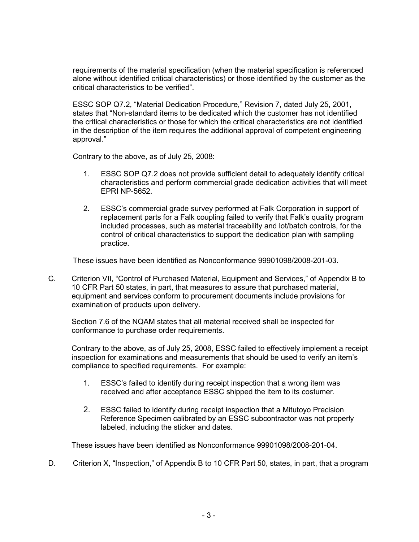requirements of the material specification (when the material specification is referenced alone without identified critical characteristics) or those identified by the customer as the critical characteristics to be verified".

ESSC SOP Q7.2, "Material Dedication Procedure," Revision 7, dated July 25, 2001, states that "Non-standard items to be dedicated which the customer has not identified the critical characteristics or those for which the critical characteristics are not identified in the description of the item requires the additional approval of competent engineering approval."

Contrary to the above, as of July 25, 2008:

- 1. ESSC SOP Q7.2 does not provide sufficient detail to adequately identify critical characteristics and perform commercial grade dedication activities that will meet EPRI NP-5652.
- 2. ESSC's commercial grade survey performed at Falk Corporation in support of replacement parts for a Falk coupling failed to verify that Falk's quality program included processes, such as material traceability and lot/batch controls, for the control of critical characteristics to support the dedication plan with sampling practice.

These issues have been identified as Nonconformance 99901098/2008-201-03.

C. Criterion VII, "Control of Purchased Material, Equipment and Services," of Appendix B to 10 CFR Part 50 states, in part, that measures to assure that purchased material, equipment and services conform to procurement documents include provisions for examination of products upon delivery.

Section 7.6 of the NQAM states that all material received shall be inspected for conformance to purchase order requirements.

Contrary to the above, as of July 25, 2008, ESSC failed to effectively implement a receipt inspection for examinations and measurements that should be used to verify an item's compliance to specified requirements. For example:

- 1. ESSC's failed to identify during receipt inspection that a wrong item was received and after acceptance ESSC shipped the item to its costumer.
- 2. ESSC failed to identify during receipt inspection that a Mitutoyo Precision Reference Specimen calibrated by an ESSC subcontractor was not properly labeled, including the sticker and dates.

These issues have been identified as Nonconformance 99901098/2008-201-04.

D. Criterion X, "Inspection," of Appendix B to 10 CFR Part 50, states, in part, that a program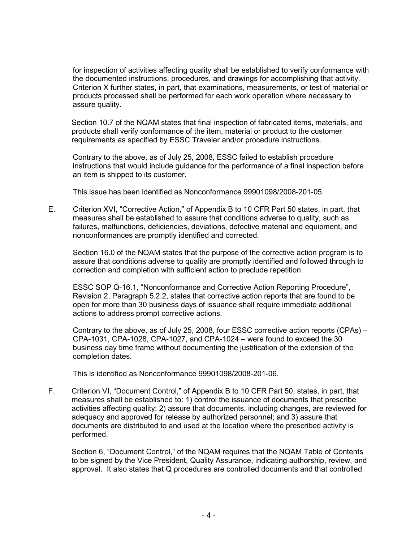for inspection of activities affecting quality shall be established to verify conformance with the documented instructions, procedures, and drawings for accomplishing that activity. Criterion X further states, in part, that examinations, measurements, or test of material or products processed shall be performed for each work operation where necessary to assure quality.

Section 10.7 of the NQAM states that final inspection of fabricated items, materials, and products shall verify conformance of the item, material or product to the customer requirements as specified by ESSC Traveler and/or procedure instructions.

Contrary to the above, as of July 25, 2008, ESSC failed to establish procedure instructions that would include guidance for the performance of a final inspection before an item is shipped to its customer.

This issue has been identified as Nonconformance 99901098/2008-201-05.

E. Criterion XVI, "Corrective Action," of Appendix B to 10 CFR Part 50 states, in part, that measures shall be established to assure that conditions adverse to quality, such as failures, malfunctions, deficiencies, deviations, defective material and equipment, and nonconformances are promptly identified and corrected.

 Section 16.0 of the NQAM states that the purpose of the corrective action program is to assure that conditions adverse to quality are promptly identified and followed through to correction and completion with sufficient action to preclude repetition.

 ESSC SOP Q-16.1, "Nonconformance and Corrective Action Reporting Procedure", Revision 2, Paragraph 5.2.2, states that corrective action reports that are found to be open for more than 30 business days of issuance shall require immediate additional actions to address prompt corrective actions.

 Contrary to the above, as of July 25, 2008, four ESSC corrective action reports (CPAs) – CPA-1031, CPA-1028, CPA-1027, and CPA-1024 – were found to exceed the 30 business day time frame without documenting the justification of the extension of the completion dates.

This is identified as Nonconformance 99901098/2008-201-06.

F. Criterion VI, "Document Control," of Appendix B to 10 CFR Part 50, states, in part, that measures shall be established to: 1) control the issuance of documents that prescribe activities affecting quality; 2) assure that documents, including changes, are reviewed for adequacy and approved for release by authorized personnel; and 3) assure that documents are distributed to and used at the location where the prescribed activity is performed.

Section 6, "Document Control," of the NQAM requires that the NQAM Table of Contents to be signed by the Vice President, Quality Assurance, indicating authorship, review, and approval. It also states that Q procedures are controlled documents and that controlled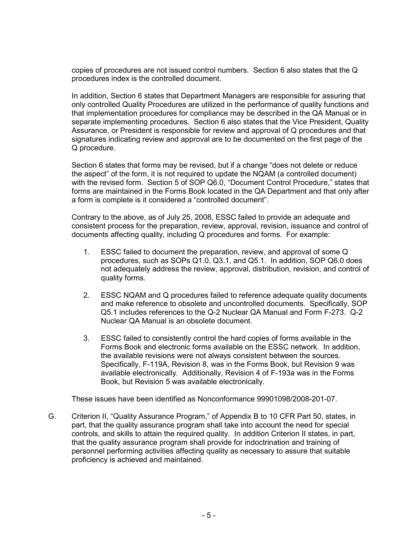copies of procedures are not issued control numbers. Section 6 also states that the Q procedures index is the controlled document.

In addition, Section 6 states that Department Managers are responsible for assuring that only controlled Quality Procedures are utilized in the performance of quality functions and that implementation procedures for compliance may be described in the QA Manual or in separate implementing procedures. Section 6 also states that the Vice President, Quality Assurance, or President is responsible for review and approval of Q procedures and that signatures indicating review and approval are to be documented on the first page of the Q procedure.

Section 6 states that forms may be revised, but if a change "does not delete or reduce the aspect" of the form, it is not required to update the NQAM (a controlled document) with the revised form. Section 5 of SOP Q6.0, "Document Control Procedure," states that forms are maintained in the Forms Book located in the QA Department and that only after a form is complete is it considered a "controlled document".

Contrary to the above, as of July 25, 2008, ESSC failed to provide an adequate and consistent process for the preparation, review, approval, revision, issuance and control of documents affecting quality, including Q procedures and forms. For example:

- 1. ESSC failed to document the preparation, review, and approval of some Q procedures, such as SOPs Q1.0, Q3.1, and Q5.1. In addition, SOP Q6.0 does not adequately address the review, approval, distribution, revision, and control of quality forms.
- 2. ESSC NQAM and Q procedures failed to reference adequate quality documents and make reference to obsolete and uncontrolled documents. Specifically, SOP Q5.1 includes references to the Q-2 Nuclear QA Manual and Form F-273. Q-2 Nuclear QA Manual is an obsolete document.
- 3. ESSC failed to consistently control the hard copies of forms available in the Forms Book and electronic forms available on the ESSC network. In addition, the available revisions were not always consistent between the sources. Specifically, F-119A, Revision 8, was in the Forms Book, but Revision 9 was available electronically. Additionally, Revision 4 of F-193a was in the Forms Book, but Revision 5 was available electronically.

These issues have been identified as Nonconformance 99901098/2008-201-07.

G. Criterion II, "Quality Assurance Program," of Appendix B to 10 CFR Part 50, states, in part, that the quality assurance program shall take into account the need for special controls, and skills to attain the required quality. In addition Criterion II states, in part, that the quality assurance program shall provide for indoctrination and training of personnel performing activities affecting quality as necessary to assure that suitable proficiency is achieved and maintained.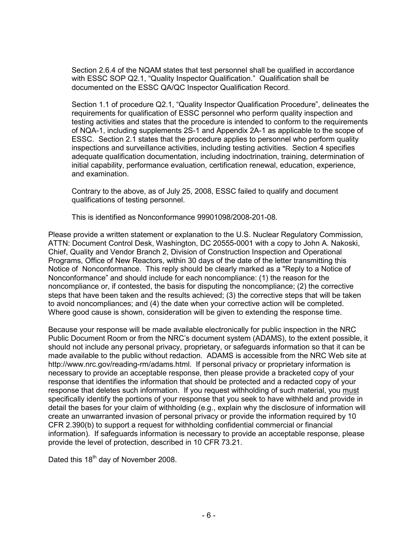Section 2.6.4 of the NQAM states that test personnel shall be qualified in accordance with ESSC SOP Q2.1, "Quality Inspector Qualification." Qualification shall be documented on the ESSC QA/QC Inspector Qualification Record.

Section 1.1 of procedure Q2.1, "Quality Inspector Qualification Procedure", delineates the requirements for qualification of ESSC personnel who perform quality inspection and testing activities and states that the procedure is intended to conform to the requirements of NQA-1, including supplements 2S-1 and Appendix 2A-1 as applicable to the scope of ESSC. Section 2.1 states that the procedure applies to personnel who perform quality inspections and surveillance activities, including testing activities. Section 4 specifies adequate qualification documentation, including indoctrination, training, determination of initial capability, performance evaluation, certification renewal, education, experience, and examination.

Contrary to the above, as of July 25, 2008, ESSC failed to qualify and document qualifications of testing personnel.

This is identified as Nonconformance 99901098/2008-201-08.

Please provide a written statement or explanation to the U.S. Nuclear Regulatory Commission, ATTN: Document Control Desk, Washington, DC 20555-0001 with a copy to John A. Nakoski, Chief, Quality and Vendor Branch 2, Division of Construction Inspection and Operational Programs, Office of New Reactors, within 30 days of the date of the letter transmitting this Notice of Nonconformance. This reply should be clearly marked as a "Reply to a Notice of Nonconformance" and should include for each noncompliance: (1) the reason for the noncompliance or, if contested, the basis for disputing the noncompliance; (2) the corrective steps that have been taken and the results achieved; (3) the corrective steps that will be taken to avoid noncompliances; and (4) the date when your corrective action will be completed. Where good cause is shown, consideration will be given to extending the response time.

Because your response will be made available electronically for public inspection in the NRC Public Document Room or from the NRC's document system (ADAMS), to the extent possible, it should not include any personal privacy, proprietary, or safeguards information so that it can be made available to the public without redaction. ADAMS is accessible from the NRC Web site at http://www.nrc.gov/reading-rm/adams.html. If personal privacy or proprietary information is necessary to provide an acceptable response, then please provide a bracketed copy of your response that identifies the information that should be protected and a redacted copy of your response that deletes such information. If you request withholding of such material, you must specifically identify the portions of your response that you seek to have withheld and provide in detail the bases for your claim of withholding (e.g., explain why the disclosure of information will create an unwarranted invasion of personal privacy or provide the information required by 10 CFR 2.390(b) to support a request for withholding confidential commercial or financial information). If safeguards information is necessary to provide an acceptable response, please provide the level of protection, described in 10 CFR 73.21.

Dated this  $18<sup>th</sup>$  day of November 2008.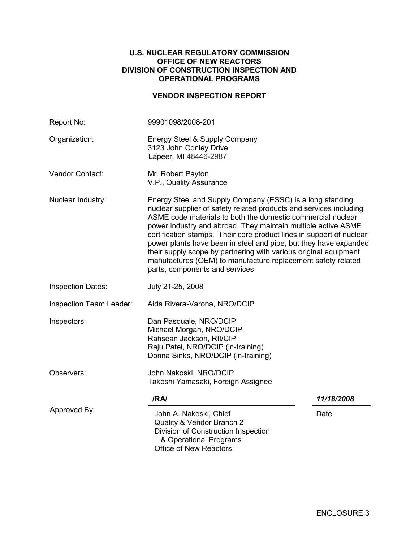#### **U.S. NUCLEAR REGULATORY COMMISSION OFFICE OF NEW REACTORS DIVISION OF CONSTRUCTION INSPECTION AND OPERATIONAL PROGRAMS**

### **VENDOR INSPECTION REPORT**

| Report No:               | 99901098/2008-201                                                                                                                                                                                                                                                                                                                                                                                                                                                                                                                                                                  |            |  |  |  |
|--------------------------|------------------------------------------------------------------------------------------------------------------------------------------------------------------------------------------------------------------------------------------------------------------------------------------------------------------------------------------------------------------------------------------------------------------------------------------------------------------------------------------------------------------------------------------------------------------------------------|------------|--|--|--|
| Organization:            | Energy Steel & Supply Company<br>3123 John Conley Drive<br>Lapeer, MI 48446-2987                                                                                                                                                                                                                                                                                                                                                                                                                                                                                                   |            |  |  |  |
| Vendor Contact:          | Mr. Robert Payton<br>V.P., Quality Assurance                                                                                                                                                                                                                                                                                                                                                                                                                                                                                                                                       |            |  |  |  |
| Nuclear Industry:        | Energy Steel and Supply Company (ESSC) is a long standing<br>nuclear supplier of safety related products and services including<br>ASME code materials to both the domestic commercial nuclear<br>power industry and abroad. They maintain multiple active ASME<br>certification stamps. Their core product lines in support of nuclear<br>power plants have been in steel and pipe, but they have expanded<br>their supply scope by partnering with various original equipment<br>manufactures (OEM) to manufacture replacement safety related<br>parts, components and services. |            |  |  |  |
| <b>Inspection Dates:</b> | July 21-25, 2008                                                                                                                                                                                                                                                                                                                                                                                                                                                                                                                                                                   |            |  |  |  |
| Inspection Team Leader:  | Aida Rivera-Varona, NRO/DCIP                                                                                                                                                                                                                                                                                                                                                                                                                                                                                                                                                       |            |  |  |  |
| Inspectors:              | Dan Pasquale, NRO/DCIP<br>Michael Morgan, NRO/DCIP<br>Rahsean Jackson, RII/CIP<br>Raju Patel, NRO/DCIP (in-training)<br>Donna Sinks, NRO/DCIP (in-training)                                                                                                                                                                                                                                                                                                                                                                                                                        |            |  |  |  |
| Observers:               | John Nakoski, NRO/DCIP<br>Takeshi Yamasaki, Foreign Assignee                                                                                                                                                                                                                                                                                                                                                                                                                                                                                                                       |            |  |  |  |
|                          | /RA/                                                                                                                                                                                                                                                                                                                                                                                                                                                                                                                                                                               | 11/18/2008 |  |  |  |
| Approved By:             | John A. Nakoski, Chief<br>Quality & Vendor Branch 2<br>Division of Construction Inspection<br>& Operational Programs<br><b>Office of New Reactors</b>                                                                                                                                                                                                                                                                                                                                                                                                                              | Date       |  |  |  |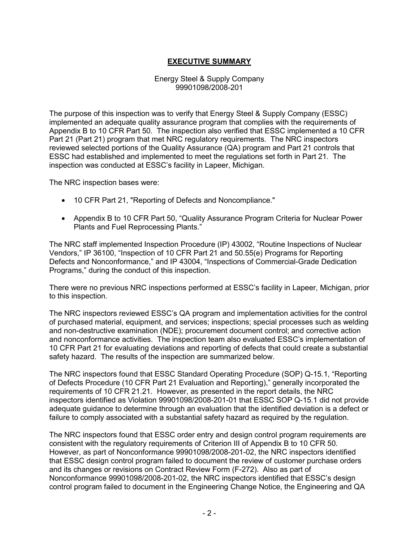### **EXECUTIVE SUMMARY**

#### Energy Steel & Supply Company 99901098/2008-201

The purpose of this inspection was to verify that Energy Steel & Supply Company (ESSC) implemented an adequate quality assurance program that complies with the requirements of Appendix B to 10 CFR Part 50. The inspection also verified that ESSC implemented a 10 CFR Part 21 (Part 21) program that met NRC regulatory requirements. The NRC inspectors reviewed selected portions of the Quality Assurance (QA) program and Part 21 controls that ESSC had established and implemented to meet the regulations set forth in Part 21. The inspection was conducted at ESSC's facility in Lapeer, Michigan.

The NRC inspection bases were:

- 10 CFR Part 21, "Reporting of Defects and Noncompliance."
- Appendix B to 10 CFR Part 50, "Quality Assurance Program Criteria for Nuclear Power Plants and Fuel Reprocessing Plants."

The NRC staff implemented Inspection Procedure (IP) 43002, "Routine Inspections of Nuclear Vendors," IP 36100, "Inspection of 10 CFR Part 21 and 50.55(e) Programs for Reporting Defects and Nonconformance," and IP 43004, "Inspections of Commercial-Grade Dedication Programs," during the conduct of this inspection.

There were no previous NRC inspections performed at ESSC's facility in Lapeer, Michigan, prior to this inspection.

The NRC inspectors reviewed ESSC's QA program and implementation activities for the control of purchased material, equipment, and services; inspections; special processes such as welding and non-destructive examination (NDE); procurement document control; and corrective action and nonconformance activities. The inspection team also evaluated ESSC's implementation of 10 CFR Part 21 for evaluating deviations and reporting of defects that could create a substantial safety hazard. The results of the inspection are summarized below.

The NRC inspectors found that ESSC Standard Operating Procedure (SOP) Q-15.1, "Reporting of Defects Procedure (10 CFR Part 21 Evaluation and Reporting)," generally incorporated the requirements of 10 CFR 21.21. However, as presented in the report details, the NRC inspectors identified as Violation 99901098/2008-201-01 that ESSC SOP Q-15.1 did not provide adequate guidance to determine through an evaluation that the identified deviation is a defect or failure to comply associated with a substantial safety hazard as required by the regulation.

The NRC inspectors found that ESSC order entry and design control program requirements are consistent with the regulatory requirements of Criterion III of Appendix B to 10 CFR 50. However, as part of Nonconformance 99901098/2008-201-02, the NRC inspectors identified that ESSC design control program failed to document the review of customer purchase orders and its changes or revisions on Contract Review Form (F-272). Also as part of Nonconformance 99901098/2008-201-02, the NRC inspectors identified that ESSC's design control program failed to document in the Engineering Change Notice, the Engineering and QA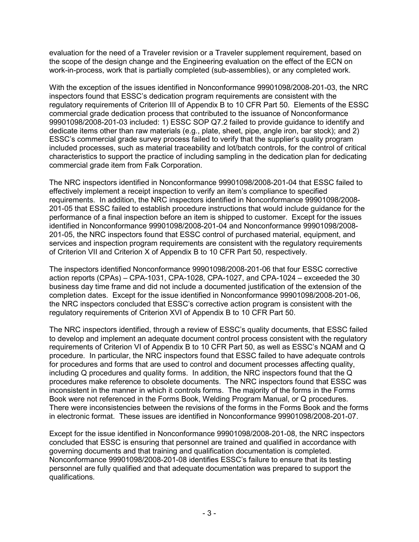evaluation for the need of a Traveler revision or a Traveler supplement requirement, based on the scope of the design change and the Engineering evaluation on the effect of the ECN on work-in-process, work that is partially completed (sub-assemblies), or any completed work.

With the exception of the issues identified in Nonconformance 99901098/2008-201-03, the NRC inspectors found that ESSC's dedication program requirements are consistent with the regulatory requirements of Criterion III of Appendix B to 10 CFR Part 50. Elements of the ESSC commercial grade dedication process that contributed to the issuance of Nonconformance 99901098/2008-201-03 included: 1) ESSC SOP Q7.2 failed to provide guidance to identify and dedicate items other than raw materials (e.g., plate, sheet, pipe, angle iron, bar stock); and 2) ESSC's commercial grade survey process failed to verify that the supplier's quality program included processes, such as material traceability and lot/batch controls, for the control of critical characteristics to support the practice of including sampling in the dedication plan for dedicating commercial grade item from Falk Corporation.

The NRC inspectors identified in Nonconformance 99901098/2008-201-04 that ESSC failed to effectively implement a receipt inspection to verify an item's compliance to specified requirements. In addition, the NRC inspectors identified in Nonconformance 99901098/2008- 201-05 that ESSC failed to establish procedure instructions that would include guidance for the performance of a final inspection before an item is shipped to customer. Except for the issues identified in Nonconformance 99901098/2008-201-04 and Nonconformance 99901098/2008- 201-05, the NRC inspectors found that ESSC control of purchased material, equipment, and services and inspection program requirements are consistent with the regulatory requirements of Criterion VII and Criterion X of Appendix B to 10 CFR Part 50, respectively.

The inspectors identified Nonconformance 99901098/2008-201-06 that four ESSC corrective action reports (CPAs) – CPA-1031, CPA-1028, CPA-1027, and CPA-1024 – exceeded the 30 business day time frame and did not include a documented justification of the extension of the completion dates. Except for the issue identified in Nonconformance 99901098/2008-201-06, the NRC inspectors concluded that ESSC's corrective action program is consistent with the regulatory requirements of Criterion XVI of Appendix B to 10 CFR Part 50.

The NRC inspectors identified, through a review of ESSC's quality documents, that ESSC failed to develop and implement an adequate document control process consistent with the regulatory requirements of Criterion VI of Appendix B to 10 CFR Part 50, as well as ESSC's NQAM and Q procedure. In particular, the NRC inspectors found that ESSC failed to have adequate controls for procedures and forms that are used to control and document processes affecting quality, including Q procedures and quality forms. In addition, the NRC inspectors found that the Q procedures make reference to obsolete documents. The NRC inspectors found that ESSC was inconsistent in the manner in which it controls forms. The majority of the forms in the Forms Book were not referenced in the Forms Book, Welding Program Manual, or Q procedures. There were inconsistencies between the revisions of the forms in the Forms Book and the forms in electronic format. These issues are identified in Nonconformance 99901098/2008-201-07.

Except for the issue identified in Nonconformance 99901098/2008-201-08, the NRC inspectors concluded that ESSC is ensuring that personnel are trained and qualified in accordance with governing documents and that training and qualification documentation is completed. Nonconformance 99901098/2008-201-08 identifies ESSC's failure to ensure that its testing personnel are fully qualified and that adequate documentation was prepared to support the qualifications.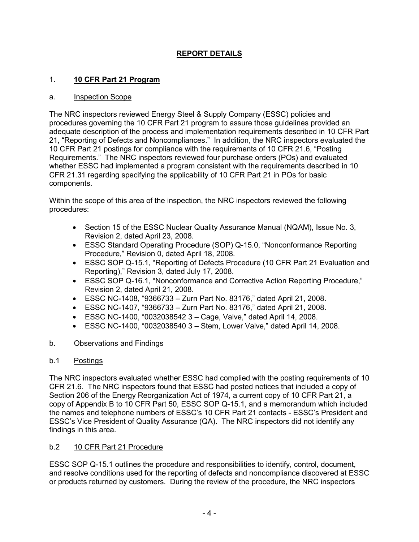# **REPORT DETAILS**

### 1. **10 CFR Part 21 Program**

#### a. Inspection Scope

The NRC inspectors reviewed Energy Steel & Supply Company (ESSC) policies and procedures governing the 10 CFR Part 21 program to assure those guidelines provided an adequate description of the process and implementation requirements described in 10 CFR Part 21, "Reporting of Defects and Noncompliances." In addition, the NRC inspectors evaluated the 10 CFR Part 21 postings for compliance with the requirements of 10 CFR 21.6, "Posting Requirements." The NRC inspectors reviewed four purchase orders (POs) and evaluated whether ESSC had implemented a program consistent with the requirements described in 10 CFR 21.31 regarding specifying the applicability of 10 CFR Part 21 in POs for basic components.

Within the scope of this area of the inspection, the NRC inspectors reviewed the following procedures:

- Section 15 of the ESSC Nuclear Quality Assurance Manual (NQAM), Issue No. 3, Revision 2, dated April 23, 2008.
- ESSC Standard Operating Procedure (SOP) Q-15.0, "Nonconformance Reporting Procedure," Revision 0, dated April 18, 2008.
- ESSC SOP Q-15.1, "Reporting of Defects Procedure (10 CFR Part 21 Evaluation and Reporting)," Revision 3, dated July 17, 2008.
- ESSC SOP Q-16.1, "Nonconformance and Corrective Action Reporting Procedure," Revision 2, dated April 21, 2008.
- ESSC NC-1408, "9366733 Zurn Part No. 83176," dated April 21, 2008.
- ESSC NC-1407, "9366733 Zurn Part No. 83176," dated April 21, 2008.
- ESSC NC-1400, "0032038542 3 Cage, Valve," dated April 14, 2008.
- ESSC NC-1400, "0032038540 3 Stem, Lower Valve," dated April 14, 2008.

### b. Observations and Findings

### b.1 Postings

The NRC inspectors evaluated whether ESSC had complied with the posting requirements of 10 CFR 21.6. The NRC inspectors found that ESSC had posted notices that included a copy of Section 206 of the Energy Reorganization Act of 1974, a current copy of 10 CFR Part 21, a copy of Appendix B to 10 CFR Part 50, ESSC SOP Q-15.1, and a memorandum which included the names and telephone numbers of ESSC's 10 CFR Part 21 contacts - ESSC's President and ESSC's Vice President of Quality Assurance (QA). The NRC inspectors did not identify any findings in this area.

### b.2 10 CFR Part 21 Procedure

ESSC SOP Q-15.1 outlines the procedure and responsibilities to identify, control, document, and resolve conditions used for the reporting of defects and noncompliance discovered at ESSC or products returned by customers. During the review of the procedure, the NRC inspectors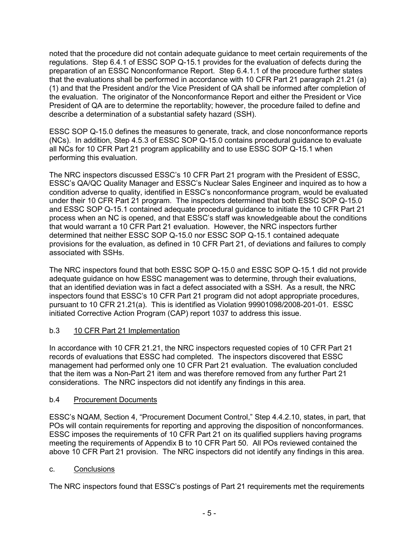noted that the procedure did not contain adequate guidance to meet certain requirements of the regulations. Step 6.4.1 of ESSC SOP Q-15.1 provides for the evaluation of defects during the preparation of an ESSC Nonconformance Report. Step 6.4.1.1 of the procedure further states that the evaluations shall be performed in accordance with 10 CFR Part 21 paragraph 21.21 (a) (1) and that the President and/or the Vice President of QA shall be informed after completion of the evaluation. The originator of the Nonconformance Report and either the President or Vice President of QA are to determine the reportablity; however, the procedure failed to define and describe a determination of a substantial safety hazard (SSH).

ESSC SOP Q-15.0 defines the measures to generate, track, and close nonconformance reports (NCs). In addition, Step 4.5.3 of ESSC SOP Q-15.0 contains procedural guidance to evaluate all NCs for 10 CFR Part 21 program applicability and to use ESSC SOP Q-15.1 when performing this evaluation.

The NRC inspectors discussed ESSC's 10 CFR Part 21 program with the President of ESSC, ESSC's QA/QC Quality Manager and ESSC's Nuclear Sales Engineer and inquired as to how a condition adverse to quality, identified in ESSC's nonconformance program, would be evaluated under their 10 CFR Part 21 program. The inspectors determined that both ESSC SOP Q-15.0 and ESSC SOP Q-15.1 contained adequate procedural guidance to initiate the 10 CFR Part 21 process when an NC is opened, and that ESSC's staff was knowledgeable about the conditions that would warrant a 10 CFR Part 21 evaluation. However, the NRC inspectors further determined that neither ESSC SOP Q-15.0 nor ESSC SOP Q-15.1 contained adequate provisions for the evaluation, as defined in 10 CFR Part 21, of deviations and failures to comply associated with SSHs.

The NRC inspectors found that both ESSC SOP Q-15.0 and ESSC SOP Q-15.1 did not provide adequate guidance on how ESSC management was to determine, through their evaluations, that an identified deviation was in fact a defect associated with a SSH. As a result, the NRC inspectors found that ESSC's 10 CFR Part 21 program did not adopt appropriate procedures, pursuant to 10 CFR 21.21(a). This is identified as Violation 99901098/2008-201-01. ESSC initiated Corrective Action Program (CAP) report 1037 to address this issue.

### b.3 10 CFR Part 21 Implementation

In accordance with 10 CFR 21.21, the NRC inspectors requested copies of 10 CFR Part 21 records of evaluations that ESSC had completed. The inspectors discovered that ESSC management had performed only one 10 CFR Part 21 evaluation. The evaluation concluded that the item was a Non-Part 21 item and was therefore removed from any further Part 21 considerations. The NRC inspectors did not identify any findings in this area.

### b.4 Procurement Documents

ESSC's NQAM, Section 4, "Procurement Document Control," Step 4.4.2.10, states, in part, that POs will contain requirements for reporting and approving the disposition of nonconformances. ESSC imposes the requirements of 10 CFR Part 21 on its qualified suppliers having programs meeting the requirements of Appendix B to 10 CFR Part 50. All POs reviewed contained the above 10 CFR Part 21 provision. The NRC inspectors did not identify any findings in this area.

### c. Conclusions

The NRC inspectors found that ESSC's postings of Part 21 requirements met the requirements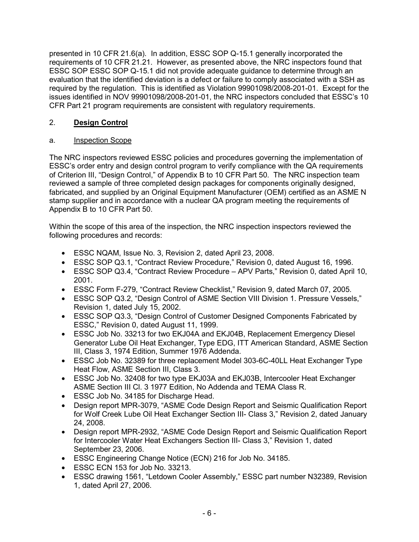presented in 10 CFR 21.6(a). In addition, ESSC SOP Q-15.1 generally incorporated the requirements of 10 CFR 21.21. However, as presented above, the NRC inspectors found that ESSC SOP ESSC SOP Q-15.1 did not provide adequate guidance to determine through an evaluation that the identified deviation is a defect or failure to comply associated with a SSH as required by the regulation. This is identified as Violation 99901098/2008-201-01. Except for the issues identified in NOV 99901098/2008-201-01, the NRC inspectors concluded that ESSC's 10 CFR Part 21 program requirements are consistent with regulatory requirements.

# 2. **Design Control**

# a. Inspection Scope

The NRC inspectors reviewed ESSC policies and procedures governing the implementation of ESSC's order entry and design control program to verify compliance with the QA requirements of Criterion III, "Design Control," of Appendix B to 10 CFR Part 50. The NRC inspection team reviewed a sample of three completed design packages for components originally designed, fabricated, and supplied by an Original Equipment Manufacturer (OEM) certified as an ASME N stamp supplier and in accordance with a nuclear QA program meeting the requirements of Appendix B to 10 CFR Part 50.

Within the scope of this area of the inspection, the NRC inspection inspectors reviewed the following procedures and records:

- ESSC NQAM, Issue No. 3, Revision 2, dated April 23, 2008.
- ESSC SOP Q3.1, "Contract Review Procedure," Revision 0, dated August 16, 1996.
- ESSC SOP Q3.4, "Contract Review Procedure APV Parts," Revision 0, dated April 10, 2001.
- ESSC Form F-279, "Contract Review Checklist," Revision 9, dated March 07, 2005.
- ESSC SOP Q3.2, "Design Control of ASME Section VIII Division 1. Pressure Vessels," Revision 1, dated July 15, 2002.
- ESSC SOP Q3.3, "Design Control of Customer Designed Components Fabricated by ESSC," Revision 0, dated August 11, 1999.
- ESSC Job No. 33213 for two EKJ04A and EKJ04B, Replacement Emergency Diesel Generator Lube Oil Heat Exchanger, Type EDG, ITT American Standard, ASME Section III, Class 3, 1974 Edition, Summer 1976 Addenda.
- ESSC Job No. 32389 for three replacement Model 303-6C-40LL Heat Exchanger Type Heat Flow, ASME Section III, Class 3.
- ESSC Job No. 32408 for two type EKJ03A and EKJ03B, Intercooler Heat Exchanger ASME Section III Cl. 3 1977 Edition, No Addenda and TEMA Class R.
- ESSC Job No. 34185 for Discharge Head.
- Design report MPR-3079, "ASME Code Design Report and Seismic Qualification Report for Wolf Creek Lube Oil Heat Exchanger Section III- Class 3," Revision 2, dated January 24, 2008.
- Design report MPR-2932, "ASME Code Design Report and Seismic Qualification Report for Intercooler Water Heat Exchangers Section III- Class 3," Revision 1, dated September 23, 2006.
- ESSC Engineering Change Notice (ECN) 216 for Job No. 34185.
- ESSC ECN 153 for Job No. 33213.
- ESSC drawing 1561, "Letdown Cooler Assembly," ESSC part number N32389, Revision 1, dated April 27, 2006.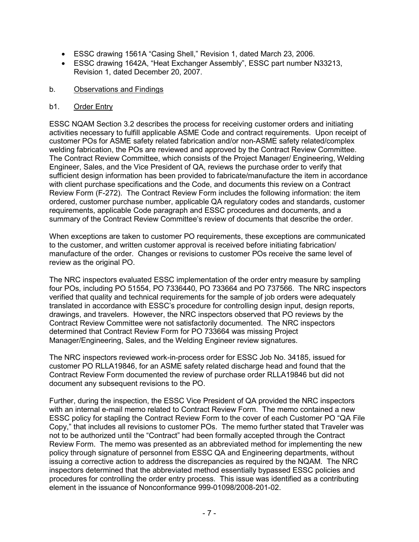- ESSC drawing 1561A "Casing Shell," Revision 1, dated March 23, 2006.
- ESSC drawing 1642A, "Heat Exchanger Assembly", ESSC part number N33213, Revision 1, dated December 20, 2007.

#### b. Observations and Findings

#### b1. Order Entry

ESSC NQAM Section 3.2 describes the process for receiving customer orders and initiating activities necessary to fulfill applicable ASME Code and contract requirements. Upon receipt of customer POs for ASME safety related fabrication and/or non-ASME safety related/complex welding fabrication, the POs are reviewed and approved by the Contract Review Committee. The Contract Review Committee, which consists of the Project Manager/ Engineering, Welding Engineer, Sales, and the Vice President of QA, reviews the purchase order to verify that sufficient design information has been provided to fabricate/manufacture the item in accordance with client purchase specifications and the Code, and documents this review on a Contract Review Form (F-272). The Contract Review Form includes the following information: the item ordered, customer purchase number, applicable QA regulatory codes and standards, customer requirements, applicable Code paragraph and ESSC procedures and documents, and a summary of the Contract Review Committee's review of documents that describe the order.

When exceptions are taken to customer PO requirements, these exceptions are communicated to the customer, and written customer approval is received before initiating fabrication/ manufacture of the order. Changes or revisions to customer POs receive the same level of review as the original PO.

The NRC inspectors evaluated ESSC implementation of the order entry measure by sampling four POs, including PO 51554, PO 7336440, PO 733664 and PO 737566. The NRC inspectors verified that quality and technical requirements for the sample of job orders were adequately translated in accordance with ESSC's procedure for controlling design input, design reports, drawings, and travelers. However, the NRC inspectors observed that PO reviews by the Contract Review Committee were not satisfactorily documented. The NRC inspectors determined that Contract Review Form for PO 733664 was missing Project Manager/Engineering, Sales, and the Welding Engineer review signatures.

The NRC inspectors reviewed work-in-process order for ESSC Job No. 34185, issued for customer PO RLLA19846, for an ASME safety related discharge head and found that the Contract Review Form documented the review of purchase order RLLA19846 but did not document any subsequent revisions to the PO.

Further, during the inspection, the ESSC Vice President of QA provided the NRC inspectors with an internal e-mail memo related to Contract Review Form. The memo contained a new ESSC policy for stapling the Contract Review Form to the cover of each Customer PO "QA File Copy," that includes all revisions to customer POs. The memo further stated that Traveler was not to be authorized until the "Contract" had been formally accepted through the Contract Review Form. The memo was presented as an abbreviated method for implementing the new policy through signature of personnel from ESSC QA and Engineering departments, without issuing a corrective action to address the discrepancies as required by the NQAM. The NRC inspectors determined that the abbreviated method essentially bypassed ESSC policies and procedures for controlling the order entry process. This issue was identified as a contributing element in the issuance of Nonconformance 999-01098/2008-201-02.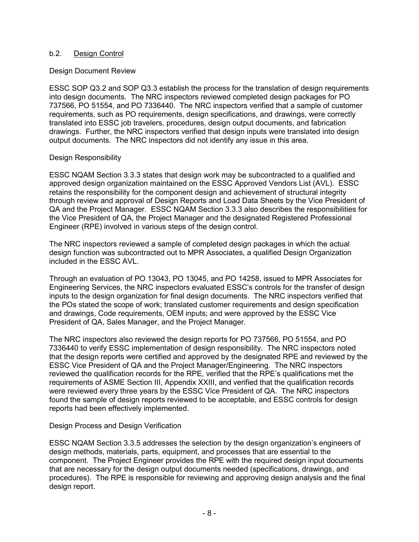### b.2. Design Control

#### Design Document Review

ESSC SOP Q3.2 and SOP Q3.3 establish the process for the translation of design requirements into design documents. The NRC inspectors reviewed completed design packages for PO 737566, PO 51554, and PO 7336440. The NRC inspectors verified that a sample of customer requirements, such as PO requirements, design specifications, and drawings, were correctly translated into ESSC job travelers, procedures, design output documents, and fabrication drawings. Further, the NRC inspectors verified that design inputs were translated into design output documents. The NRC inspectors did not identify any issue in this area.

### Design Responsibility

ESSC NQAM Section 3.3.3 states that design work may be subcontracted to a qualified and approved design organization maintained on the ESSC Approved Vendors List (AVL). ESSC retains the responsibility for the component design and achievement of structural integrity through review and approval of Design Reports and Load Data Sheets by the Vice President of QA and the Project Manager. ESSC NQAM Section 3.3.3 also describes the responsibilities for the Vice President of QA, the Project Manager and the designated Registered Professional Engineer (RPE) involved in various steps of the design control.

The NRC inspectors reviewed a sample of completed design packages in which the actual design function was subcontracted out to MPR Associates, a qualified Design Organization included in the ESSC AVL.

Through an evaluation of PO 13043, PO 13045, and PO 14258, issued to MPR Associates for Engineering Services, the NRC inspectors evaluated ESSC's controls for the transfer of design inputs to the design organization for final design documents. The NRC inspectors verified that the POs stated the scope of work; translated customer requirements and design specification and drawings, Code requirements, OEM inputs; and were approved by the ESSC Vice President of QA, Sales Manager, and the Project Manager.

The NRC inspectors also reviewed the design reports for PO 737566, PO 51554, and PO 7336440 to verify ESSC implementation of design responsibility. The NRC inspectors noted that the design reports were certified and approved by the designated RPE and reviewed by the ESSC Vice President of QA and the Project Manager/Engineering. The NRC inspectors reviewed the qualification records for the RPE, verified that the RPE's qualifications met the requirements of ASME Section III, Appendix XXIII, and verified that the qualification records were reviewed every three years by the ESSC Vice President of QA. The NRC inspectors found the sample of design reports reviewed to be acceptable, and ESSC controls for design reports had been effectively implemented.

### Design Process and Design Verification

ESSC NQAM Section 3.3.5 addresses the selection by the design organization's engineers of design methods, materials, parts, equipment, and processes that are essential to the component. The Project Engineer provides the RPE with the required design input documents that are necessary for the design output documents needed (specifications, drawings, and procedures). The RPE is responsible for reviewing and approving design analysis and the final design report.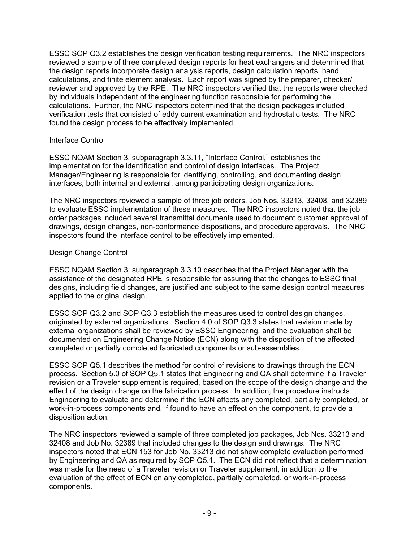ESSC SOP Q3.2 establishes the design verification testing requirements. The NRC inspectors reviewed a sample of three completed design reports for heat exchangers and determined that the design reports incorporate design analysis reports, design calculation reports, hand calculations, and finite element analysis. Each report was signed by the preparer, checker/ reviewer and approved by the RPE. The NRC inspectors verified that the reports were checked by individuals independent of the engineering function responsible for performing the calculations. Further, the NRC inspectors determined that the design packages included verification tests that consisted of eddy current examination and hydrostatic tests. The NRC found the design process to be effectively implemented.

#### Interface Control

ESSC NQAM Section 3, subparagraph 3.3.11, "Interface Control," establishes the implementation for the identification and control of design interfaces. The Project Manager/Engineering is responsible for identifying, controlling, and documenting design interfaces, both internal and external, among participating design organizations.

The NRC inspectors reviewed a sample of three job orders, Job Nos. 33213, 32408, and 32389 to evaluate ESSC implementation of these measures. The NRC inspectors noted that the job order packages included several transmittal documents used to document customer approval of drawings, design changes, non-conformance dispositions, and procedure approvals. The NRC inspectors found the interface control to be effectively implemented.

#### Design Change Control

ESSC NQAM Section 3, subparagraph 3.3.10 describes that the Project Manager with the assistance of the designated RPE is responsible for assuring that the changes to ESSC final designs, including field changes, are justified and subject to the same design control measures applied to the original design.

ESSC SOP Q3.2 and SOP Q3.3 establish the measures used to control design changes, originated by external organizations. Section 4.0 of SOP Q3.3 states that revision made by external organizations shall be reviewed by ESSC Engineering, and the evaluation shall be documented on Engineering Change Notice (ECN) along with the disposition of the affected completed or partially completed fabricated components or sub-assemblies.

ESSC SOP Q5.1 describes the method for control of revisions to drawings through the ECN process. Section 5.0 of SOP Q5.1 states that Engineering and QA shall determine if a Traveler revision or a Traveler supplement is required, based on the scope of the design change and the effect of the design change on the fabrication process. In addition, the procedure instructs Engineering to evaluate and determine if the ECN affects any completed, partially completed, or work-in-process components and, if found to have an effect on the component, to provide a disposition action.

The NRC inspectors reviewed a sample of three completed job packages, Job Nos. 33213 and 32408 and Job No. 32389 that included changes to the design and drawings. The NRC inspectors noted that ECN 153 for Job No. 33213 did not show complete evaluation performed by Engineering and QA as required by SOP Q5.1. The ECN did not reflect that a determination was made for the need of a Traveler revision or Traveler supplement, in addition to the evaluation of the effect of ECN on any completed, partially completed, or work-in-process components.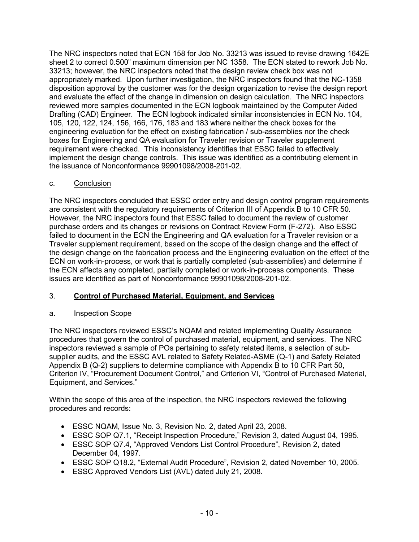The NRC inspectors noted that ECN 158 for Job No. 33213 was issued to revise drawing 1642E sheet 2 to correct 0.500" maximum dimension per NC 1358. The ECN stated to rework Job No. 33213; however, the NRC inspectors noted that the design review check box was not appropriately marked. Upon further investigation, the NRC inspectors found that the NC-1358 disposition approval by the customer was for the design organization to revise the design report and evaluate the effect of the change in dimension on design calculation. The NRC inspectors reviewed more samples documented in the ECN logbook maintained by the Computer Aided Drafting (CAD) Engineer. The ECN logbook indicated similar inconsistencies in ECN No. 104, 105, 120, 122, 124, 156, 166, 176, 183 and 183 where neither the check boxes for the engineering evaluation for the effect on existing fabrication / sub-assemblies nor the check boxes for Engineering and QA evaluation for Traveler revision or Traveler supplement requirement were checked. This inconsistency identifies that ESSC failed to effectively implement the design change controls. This issue was identified as a contributing element in the issuance of Nonconformance 99901098/2008-201-02.

# c. Conclusion

The NRC inspectors concluded that ESSC order entry and design control program requirements are consistent with the regulatory requirements of Criterion III of Appendix B to 10 CFR 50. However, the NRC inspectors found that ESSC failed to document the review of customer purchase orders and its changes or revisions on Contract Review Form (F-272). Also ESSC failed to document in the ECN the Engineering and QA evaluation for a Traveler revision or a Traveler supplement requirement, based on the scope of the design change and the effect of the design change on the fabrication process and the Engineering evaluation on the effect of the ECN on work-in-process, or work that is partially completed (sub-assemblies) and determine if the ECN affects any completed, partially completed or work-in-process components. These issues are identified as part of Nonconformance 99901098/2008-201-02.

# 3. **Control of Purchased Material, Equipment, and Services**

### a. Inspection Scope

The NRC inspectors reviewed ESSC's NQAM and related implementing Quality Assurance procedures that govern the control of purchased material, equipment, and services. The NRC inspectors reviewed a sample of POs pertaining to safety related items, a selection of subsupplier audits, and the ESSC AVL related to Safety Related-ASME (Q-1) and Safety Related Appendix B (Q-2) suppliers to determine compliance with Appendix B to 10 CFR Part 50, Criterion IV, "Procurement Document Control," and Criterion VI, "Control of Purchased Material, Equipment, and Services."

Within the scope of this area of the inspection, the NRC inspectors reviewed the following procedures and records:

- ESSC NQAM, Issue No. 3, Revision No. 2, dated April 23, 2008.
- ESSC SOP Q7.1, "Receipt Inspection Procedure," Revision 3, dated August 04, 1995.
- ESSC SOP Q7.4, "Approved Vendors List Control Procedure", Revision 2, dated December 04, 1997.
- ESSC SOP Q18.2, "External Audit Procedure", Revision 2, dated November 10, 2005.
- ESSC Approved Vendors List (AVL) dated July 21, 2008.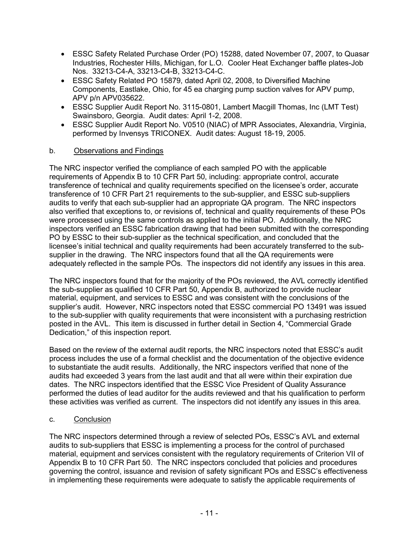- ESSC Safety Related Purchase Order (PO) 15288, dated November 07, 2007, to Quasar Industries, Rochester Hills, Michigan, for L.O. Cooler Heat Exchanger baffle plates-Job Nos. 33213-C4-A, 33213-C4-B, 33213-C4-C.
- ESSC Safety Related PO 15879, dated April 02, 2008, to Diversified Machine Components, Eastlake, Ohio, for 45 ea charging pump suction valves for APV pump, APV p/n APV035622.
- ESSC Supplier Audit Report No. 3115-0801, Lambert Macgill Thomas, Inc (LMT Test) Swainsboro, Georgia. Audit dates: April 1-2, 2008.
- ESSC Supplier Audit Report No. V0510 (NIAC) of MPR Associates, Alexandria, Virginia, performed by Invensys TRICONEX. Audit dates: August 18-19, 2005.

### b. Observations and Findings

The NRC inspector verified the compliance of each sampled PO with the applicable requirements of Appendix B to 10 CFR Part 50, including: appropriate control, accurate transference of technical and quality requirements specified on the licensee's order, accurate transference of 10 CFR Part 21 requirements to the sub-supplier, and ESSC sub-suppliers audits to verify that each sub-supplier had an appropriate QA program. The NRC inspectors also verified that exceptions to, or revisions of, technical and quality requirements of these POs were processed using the same controls as applied to the initial PO. Additionally, the NRC inspectors verified an ESSC fabrication drawing that had been submitted with the corresponding PO by ESSC to their sub-supplier as the technical specification, and concluded that the licensee's initial technical and quality requirements had been accurately transferred to the subsupplier in the drawing. The NRC inspectors found that all the QA requirements were adequately reflected in the sample POs. The inspectors did not identify any issues in this area.

The NRC inspectors found that for the majority of the POs reviewed, the AVL correctly identified the sub-supplier as qualified 10 CFR Part 50, Appendix B, authorized to provide nuclear material, equipment, and services to ESSC and was consistent with the conclusions of the supplier's audit. However, NRC inspectors noted that ESSC commercial PO 13491 was issued to the sub-supplier with quality requirements that were inconsistent with a purchasing restriction posted in the AVL. This item is discussed in further detail in Section 4, "Commercial Grade Dedication," of this inspection report.

Based on the review of the external audit reports, the NRC inspectors noted that ESSC's audit process includes the use of a formal checklist and the documentation of the objective evidence to substantiate the audit results. Additionally, the NRC inspectors verified that none of the audits had exceeded 3 years from the last audit and that all were within their expiration due dates. The NRC inspectors identified that the ESSC Vice President of Quality Assurance performed the duties of lead auditor for the audits reviewed and that his qualification to perform these activities was verified as current. The inspectors did not identify any issues in this area.

### c. Conclusion

The NRC inspectors determined through a review of selected POs, ESSC's AVL and external audits to sub-suppliers that ESSC is implementing a process for the control of purchased material, equipment and services consistent with the regulatory requirements of Criterion VII of Appendix B to 10 CFR Part 50. The NRC inspectors concluded that policies and procedures governing the control, issuance and revision of safety significant POs and ESSC's effectiveness in implementing these requirements were adequate to satisfy the applicable requirements of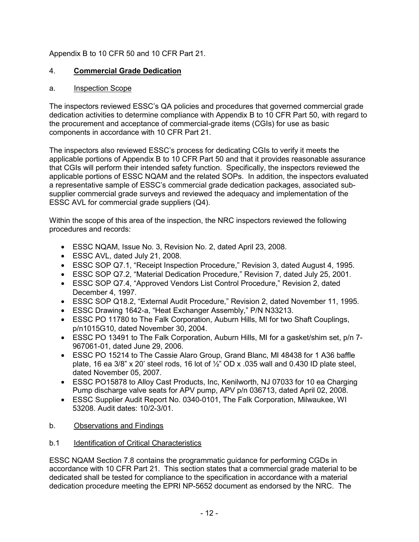# Appendix B to 10 CFR 50 and 10 CFR Part 21.

# 4. **Commercial Grade Dedication**

# a. Inspection Scope

The inspectors reviewed ESSC's QA policies and procedures that governed commercial grade dedication activities to determine compliance with Appendix B to 10 CFR Part 50, with regard to the procurement and acceptance of commercial-grade items (CGIs) for use as basic components in accordance with 10 CFR Part 21.

The inspectors also reviewed ESSC's process for dedicating CGIs to verify it meets the applicable portions of Appendix B to 10 CFR Part 50 and that it provides reasonable assurance that CGIs will perform their intended safety function. Specifically, the inspectors reviewed the applicable portions of ESSC NQAM and the related SOPs. In addition, the inspectors evaluated a representative sample of ESSC's commercial grade dedication packages, associated subsupplier commercial grade surveys and reviewed the adequacy and implementation of the ESSC AVL for commercial grade suppliers (Q4).

Within the scope of this area of the inspection, the NRC inspectors reviewed the following procedures and records:

- ESSC NQAM, Issue No. 3, Revision No. 2, dated April 23, 2008.
- ESSC AVL, dated July 21, 2008.
- ESSC SOP Q7.1, "Receipt Inspection Procedure," Revision 3, dated August 4, 1995.
- ESSC SOP Q7.2, "Material Dedication Procedure," Revision 7, dated July 25, 2001.
- ESSC SOP Q7.4, "Approved Vendors List Control Procedure," Revision 2, dated December 4, 1997.
- ESSC SOP Q18.2, "External Audit Procedure," Revision 2, dated November 11, 1995.
- ESSC Drawing 1642-a, "Heat Exchanger Assembly," P/N N33213.
- ESSC PO 11780 to The Falk Corporation, Auburn Hills, MI for two Shaft Couplings, p/n1015G10, dated November 30, 2004.
- ESSC PO 13491 to The Falk Corporation, Auburn Hills, MI for a gasket/shim set, p/n 7-967061-01, dated June 29, 2006.
- ESSC PO 15214 to The Cassie Alaro Group, Grand Blanc, MI 48438 for 1 A36 baffle plate, 16 ea  $3/8$ " x 20' steel rods, 16 lot of  $\frac{1}{2}$ " OD x .035 wall and 0.430 ID plate steel, dated November 05, 2007.
- ESSC PO15878 to Alloy Cast Products, Inc, Kenilworth, NJ 07033 for 10 ea Charging Pump discharge valve seats for APV pump, APV p/n 036713, dated April 02, 2008.
- ESSC Supplier Audit Report No. 0340-0101, The Falk Corporation, Milwaukee, WI 53208. Audit dates: 10/2-3/01.

### b. Observations and Findings

### b.1 Identification of Critical Characteristics

ESSC NQAM Section 7.8 contains the programmatic guidance for performing CGDs in accordance with 10 CFR Part 21. This section states that a commercial grade material to be dedicated shall be tested for compliance to the specification in accordance with a material dedication procedure meeting the EPRI NP-5652 document as endorsed by the NRC. The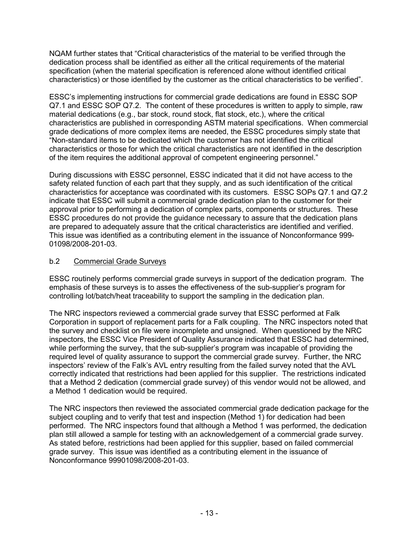NQAM further states that "Critical characteristics of the material to be verified through the dedication process shall be identified as either all the critical requirements of the material specification (when the material specification is referenced alone without identified critical characteristics) or those identified by the customer as the critical characteristics to be verified".

ESSC's implementing instructions for commercial grade dedications are found in ESSC SOP Q7.1 and ESSC SOP Q7.2. The content of these procedures is written to apply to simple, raw material dedications (e.g., bar stock, round stock, flat stock, etc.), where the critical characteristics are published in corresponding ASTM material specifications. When commercial grade dedications of more complex items are needed, the ESSC procedures simply state that "Non-standard items to be dedicated which the customer has not identified the critical characteristics or those for which the critical characteristics are not identified in the description of the item requires the additional approval of competent engineering personnel."

During discussions with ESSC personnel, ESSC indicated that it did not have access to the safety related function of each part that they supply, and as such identification of the critical characteristics for acceptance was coordinated with its customers. ESSC SOPs Q7.1 and Q7.2 indicate that ESSC will submit a commercial grade dedication plan to the customer for their approval prior to performing a dedication of complex parts, components or structures. These ESSC procedures do not provide the guidance necessary to assure that the dedication plans are prepared to adequately assure that the critical characteristics are identified and verified. This issue was identified as a contributing element in the issuance of Nonconformance 999- 01098/2008-201-03.

### b.2 Commercial Grade Surveys

ESSC routinely performs commercial grade surveys in support of the dedication program. The emphasis of these surveys is to asses the effectiveness of the sub-supplier's program for controlling lot/batch/heat traceability to support the sampling in the dedication plan.

The NRC inspectors reviewed a commercial grade survey that ESSC performed at Falk Corporation in support of replacement parts for a Falk coupling. The NRC inspectors noted that the survey and checklist on file were incomplete and unsigned. When questioned by the NRC inspectors, the ESSC Vice President of Quality Assurance indicated that ESSC had determined, while performing the survey, that the sub-supplier's program was incapable of providing the required level of quality assurance to support the commercial grade survey. Further, the NRC inspectors' review of the Falk's AVL entry resulting from the failed survey noted that the AVL correctly indicated that restrictions had been applied for this supplier. The restrictions indicated that a Method 2 dedication (commercial grade survey) of this vendor would not be allowed, and a Method 1 dedication would be required.

The NRC inspectors then reviewed the associated commercial grade dedication package for the subject coupling and to verify that test and inspection (Method 1) for dedication had been performed. The NRC inspectors found that although a Method 1 was performed, the dedication plan still allowed a sample for testing with an acknowledgement of a commercial grade survey. As stated before, restrictions had been applied for this supplier, based on failed commercial grade survey. This issue was identified as a contributing element in the issuance of Nonconformance 99901098/2008-201-03.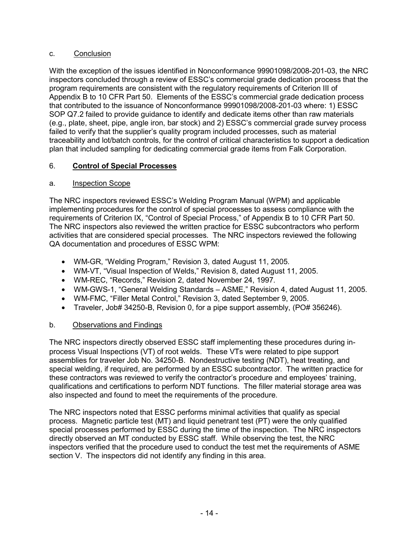### c. Conclusion

With the exception of the issues identified in Nonconformance 99901098/2008-201-03, the NRC inspectors concluded through a review of ESSC's commercial grade dedication process that the program requirements are consistent with the regulatory requirements of Criterion III of Appendix B to 10 CFR Part 50. Elements of the ESSC's commercial grade dedication process that contributed to the issuance of Nonconformance 99901098/2008-201-03 where: 1) ESSC SOP Q7.2 failed to provide guidance to identify and dedicate items other than raw materials (e.g., plate, sheet, pipe, angle iron, bar stock) and 2) ESSC's commercial grade survey process failed to verify that the supplier's quality program included processes, such as material traceability and lot/batch controls, for the control of critical characteristics to support a dedication plan that included sampling for dedicating commercial grade items from Falk Corporation.

# 6. **Control of Special Processes**

# a. Inspection Scope

The NRC inspectors reviewed ESSC's Welding Program Manual (WPM) and applicable implementing procedures for the control of special processes to assess compliance with the requirements of Criterion IX, "Control of Special Process," of Appendix B to 10 CFR Part 50. The NRC inspectors also reviewed the written practice for ESSC subcontractors who perform activities that are considered special processes. The NRC inspectors reviewed the following QA documentation and procedures of ESSC WPM:

- WM-GR, "Welding Program," Revision 3, dated August 11, 2005.
- WM-VT, "Visual Inspection of Welds," Revision 8, dated August 11, 2005.
- WM-REC, "Records," Revision 2, dated November 24, 1997.
- WM-GWS-1, "General Welding Standards ASME," Revision 4, dated August 11, 2005.
- WM-FMC, "Filler Metal Control," Revision 3, dated September 9, 2005.
- Traveler, Job# 34250-B, Revision 0, for a pipe support assembly, (PO# 356246).

# b. Observations and Findings

The NRC inspectors directly observed ESSC staff implementing these procedures during inprocess Visual Inspections (VT) of root welds. These VTs were related to pipe support assemblies for traveler Job No. 34250-B. Nondestructive testing (NDT), heat treating, and special welding, if required, are performed by an ESSC subcontractor. The written practice for these contractors was reviewed to verify the contractor's procedure and employees' training, qualifications and certifications to perform NDT functions. The filler material storage area was also inspected and found to meet the requirements of the procedure.

The NRC inspectors noted that ESSC performs minimal activities that qualify as special process. Magnetic particle test (MT) and liquid penetrant test (PT) were the only qualified special processes performed by ESSC during the time of the inspection. The NRC inspectors directly observed an MT conducted by ESSC staff. While observing the test, the NRC inspectors verified that the procedure used to conduct the test met the requirements of ASME section V. The inspectors did not identify any finding in this area.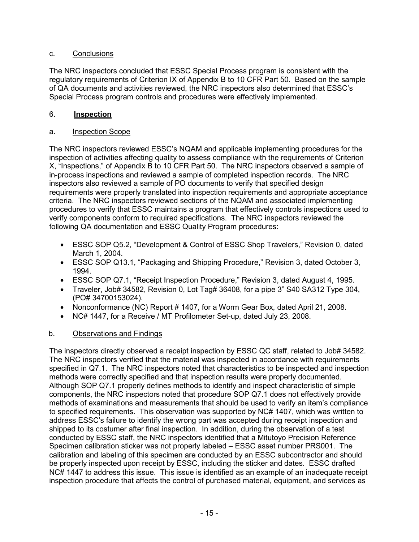### c. Conclusions

The NRC inspectors concluded that ESSC Special Process program is consistent with the regulatory requirements of Criterion IX of Appendix B to 10 CFR Part 50. Based on the sample of QA documents and activities reviewed, the NRC inspectors also determined that ESSC's Special Process program controls and procedures were effectively implemented.

### 6. **Inspection**

### a. Inspection Scope

The NRC inspectors reviewed ESSC's NQAM and applicable implementing procedures for the inspection of activities affecting quality to assess compliance with the requirements of Criterion X, "Inspections," of Appendix B to 10 CFR Part 50. The NRC inspectors observed a sample of in-process inspections and reviewed a sample of completed inspection records. The NRC inspectors also reviewed a sample of PO documents to verify that specified design requirements were properly translated into inspection requirements and appropriate acceptance criteria. The NRC inspectors reviewed sections of the NQAM and associated implementing procedures to verify that ESSC maintains a program that effectively controls inspections used to verify components conform to required specifications. The NRC inspectors reviewed the following QA documentation and ESSC Quality Program procedures:

- ESSC SOP Q5.2, "Development & Control of ESSC Shop Travelers," Revision 0, dated March 1, 2004.
- ESSC SOP Q13.1, "Packaging and Shipping Procedure," Revision 3, dated October 3, 1994.
- ESSC SOP Q7.1, "Receipt Inspection Procedure," Revision 3, dated August 4, 1995.
- Traveler, Job# 34582, Revision 0, Lot Tag# 36408, for a pipe 3" S40 SA312 Type 304, (PO# 34700153024).
- Nonconformance (NC) Report # 1407, for a Worm Gear Box, dated April 21, 2008.
- NC# 1447, for a Receive / MT Profilometer Set-up, dated July 23, 2008.

### b. Observations and Findings

The inspectors directly observed a receipt inspection by ESSC QC staff, related to Job# 34582. The NRC inspectors verified that the material was inspected in accordance with requirements specified in Q7.1. The NRC inspectors noted that characteristics to be inspected and inspection methods were correctly specified and that inspection results were properly documented. Although SOP Q7.1 properly defines methods to identify and inspect characteristic of simple components, the NRC inspectors noted that procedure SOP Q7.1 does not effectively provide methods of examinations and measurements that should be used to verify an item's compliance to specified requirements. This observation was supported by NC# 1407, which was written to address ESSC's failure to identify the wrong part was accepted during receipt inspection and shipped to its costumer after final inspection. In addition, during the observation of a test conducted by ESSC staff, the NRC inspectors identified that a Mitutoyo Precision Reference Specimen calibration sticker was not properly labeled – ESSC asset number PRS001. The calibration and labeling of this specimen are conducted by an ESSC subcontractor and should be properly inspected upon receipt by ESSC, including the sticker and dates. ESSC drafted NC# 1447 to address this issue. This issue is identified as an example of an inadequate receipt inspection procedure that affects the control of purchased material, equipment, and services as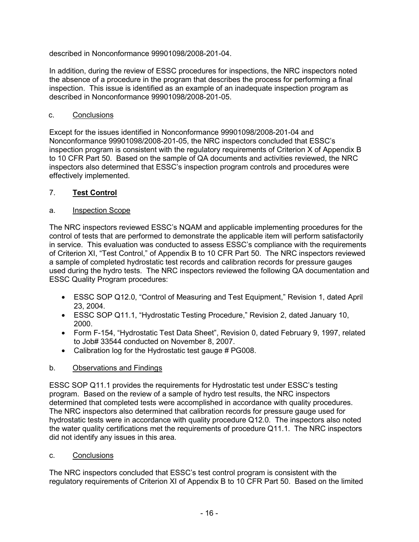described in Nonconformance 99901098/2008-201-04.

In addition, during the review of ESSC procedures for inspections, the NRC inspectors noted the absence of a procedure in the program that describes the process for performing a final inspection. This issue is identified as an example of an inadequate inspection program as described in Nonconformance 99901098/2008-201-05.

### c. Conclusions

Except for the issues identified in Nonconformance 99901098/2008-201-04 and Nonconformance 99901098/2008-201-05, the NRC inspectors concluded that ESSC's inspection program is consistent with the regulatory requirements of Criterion X of Appendix B to 10 CFR Part 50. Based on the sample of QA documents and activities reviewed, the NRC inspectors also determined that ESSC's inspection program controls and procedures were effectively implemented.

### 7. **Test Control**

### a. Inspection Scope

The NRC inspectors reviewed ESSC's NQAM and applicable implementing procedures for the control of tests that are performed to demonstrate the applicable item will perform satisfactorily in service. This evaluation was conducted to assess ESSC's compliance with the requirements of Criterion XI, "Test Control," of Appendix B to 10 CFR Part 50. The NRC inspectors reviewed a sample of completed hydrostatic test records and calibration records for pressure gauges used during the hydro tests. The NRC inspectors reviewed the following QA documentation and ESSC Quality Program procedures:

- ESSC SOP Q12.0, "Control of Measuring and Test Equipment," Revision 1, dated April 23, 2004.
- ESSC SOP Q11.1, "Hydrostatic Testing Procedure," Revision 2, dated January 10, 2000.
- Form F-154, "Hydrostatic Test Data Sheet", Revision 0, dated February 9, 1997, related to Job# 33544 conducted on November 8, 2007.
- Calibration log for the Hydrostatic test gauge # PG008.

### b. Observations and Findings

ESSC SOP Q11.1 provides the requirements for Hydrostatic test under ESSC's testing program. Based on the review of a sample of hydro test results, the NRC inspectors determined that completed tests were accomplished in accordance with quality procedures. The NRC inspectors also determined that calibration records for pressure gauge used for hydrostatic tests were in accordance with quality procedure Q12.0. The inspectors also noted the water quality certifications met the requirements of procedure Q11.1. The NRC inspectors did not identify any issues in this area.

### c. Conclusions

The NRC inspectors concluded that ESSC's test control program is consistent with the regulatory requirements of Criterion XI of Appendix B to 10 CFR Part 50. Based on the limited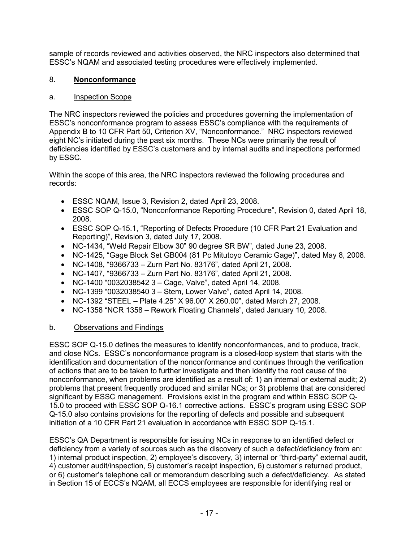sample of records reviewed and activities observed, the NRC inspectors also determined that ESSC's NQAM and associated testing procedures were effectively implemented.

### 8. **Nonconformance**

### a. Inspection Scope

The NRC inspectors reviewed the policies and procedures governing the implementation of ESSC's nonconformance program to assess ESSC's compliance with the requirements of Appendix B to 10 CFR Part 50, Criterion XV, "Nonconformance." NRC inspectors reviewed eight NC's initiated during the past six months. These NCs were primarily the result of deficiencies identified by ESSC's customers and by internal audits and inspections performed by ESSC.

Within the scope of this area, the NRC inspectors reviewed the following procedures and records:

- ESSC NQAM, Issue 3, Revision 2, dated April 23, 2008.
- ESSC SOP Q-15.0, "Nonconformance Reporting Procedure", Revision 0, dated April 18, 2008.
- ESSC SOP Q-15.1, "Reporting of Defects Procedure (10 CFR Part 21 Evaluation and Reporting)", Revision 3, dated July 17, 2008.
- NC-1434, "Weld Repair Elbow 30" 90 degree SR BW", dated June 23, 2008.
- NC-1425, "Gage Block Set GB004 (81 Pc Mitutoyo Ceramic Gage)", dated May 8, 2008.
- NC-1408, "9366733 Zurn Part No. 83176", dated April 21, 2008.
- NC-1407, "9366733 Zurn Part No. 83176", dated April 21, 2008.
- NC-1400 "0032038542 3 Cage, Valve", dated April 14, 2008.
- NC-1399 "0032038540 3 Stem, Lower Valve", dated April 14, 2008.
- NC-1392 "STEEL Plate 4.25" X 96.00" X 260.00", dated March 27, 2008.
- NC-1358 "NCR 1358 Rework Floating Channels", dated January 10, 2008.

### b. Observations and Findings

ESSC SOP Q-15.0 defines the measures to identify nonconformances, and to produce, track, and close NCs. ESSC's nonconformance program is a closed-loop system that starts with the identification and documentation of the nonconformance and continues through the verification of actions that are to be taken to further investigate and then identify the root cause of the nonconformance, when problems are identified as a result of: 1) an internal or external audit; 2) problems that present frequently produced and similar NCs; or 3) problems that are considered significant by ESSC management. Provisions exist in the program and within ESSC SOP Q-15.0 to proceed with ESSC SOP Q-16.1 corrective actions. ESSC's program using ESSC SOP Q-15.0 also contains provisions for the reporting of defects and possible and subsequent initiation of a 10 CFR Part 21 evaluation in accordance with ESSC SOP Q-15.1.

ESSC's QA Department is responsible for issuing NCs in response to an identified defect or deficiency from a variety of sources such as the discovery of such a defect/deficiency from an: 1) internal product inspection, 2) employee's discovery, 3) internal or "third-party" external audit, 4) customer audit/inspection, 5) customer's receipt inspection, 6) customer's returned product, or 6) customer's telephone call or memorandum describing such a defect/deficiency. As stated in Section 15 of ECCS's NQAM, all ECCS employees are responsible for identifying real or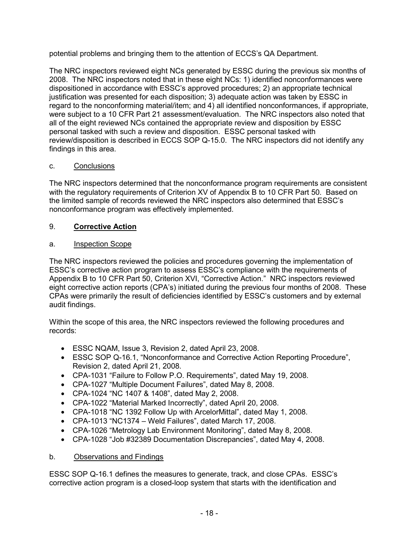potential problems and bringing them to the attention of ECCS's QA Department.

The NRC inspectors reviewed eight NCs generated by ESSC during the previous six months of 2008. The NRC inspectors noted that in these eight NCs: 1) identified nonconformances were dispositioned in accordance with ESSC's approved procedures; 2) an appropriate technical justification was presented for each disposition; 3) adequate action was taken by ESSC in regard to the nonconforming material/item; and 4) all identified nonconformances, if appropriate, were subject to a 10 CFR Part 21 assessment/evaluation. The NRC inspectors also noted that all of the eight reviewed NCs contained the appropriate review and disposition by ESSC personal tasked with such a review and disposition. ESSC personal tasked with review/disposition is described in ECCS SOP Q-15.0. The NRC inspectors did not identify any findings in this area.

# c. Conclusions

The NRC inspectors determined that the nonconformance program requirements are consistent with the regulatory requirements of Criterion XV of Appendix B to 10 CFR Part 50. Based on the limited sample of records reviewed the NRC inspectors also determined that ESSC's nonconformance program was effectively implemented.

# 9. **Corrective Action**

### a. **Inspection Scope**

The NRC inspectors reviewed the policies and procedures governing the implementation of ESSC's corrective action program to assess ESSC's compliance with the requirements of Appendix B to 10 CFR Part 50, Criterion XVI, "Corrective Action." NRC inspectors reviewed eight corrective action reports (CPA's) initiated during the previous four months of 2008. These CPAs were primarily the result of deficiencies identified by ESSC's customers and by external audit findings.

Within the scope of this area, the NRC inspectors reviewed the following procedures and records:

- ESSC NQAM, Issue 3, Revision 2, dated April 23, 2008.
- ESSC SOP Q-16.1, "Nonconformance and Corrective Action Reporting Procedure", Revision 2, dated April 21, 2008.
- CPA-1031 "Failure to Follow P.O. Requirements", dated May 19, 2008.
- CPA-1027 "Multiple Document Failures", dated May 8, 2008.
- CPA-1024 "NC 1407 & 1408", dated May 2, 2008.
- CPA-1022 "Material Marked Incorrectly", dated April 20, 2008.
- CPA-1018 "NC 1392 Follow Up with ArcelorMittal", dated May 1, 2008.
- CPA-1013 "NC1374 Weld Failures", dated March 17, 2008.
- CPA-1026 "Metrology Lab Environment Monitoring", dated May 8, 2008.
- CPA-1028 "Job #32389 Documentation Discrepancies", dated May 4, 2008.

### b. Observations and Findings

ESSC SOP Q-16.1 defines the measures to generate, track, and close CPAs. ESSC's corrective action program is a closed-loop system that starts with the identification and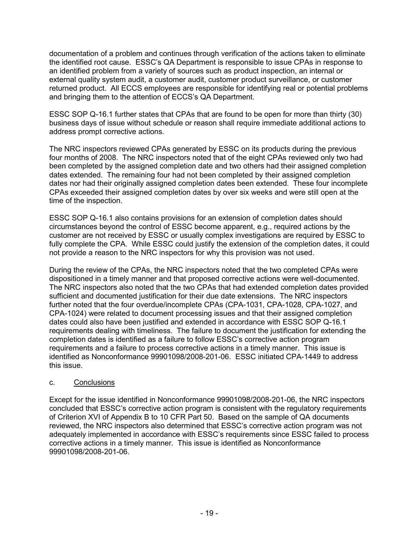documentation of a problem and continues through verification of the actions taken to eliminate the identified root cause. ESSC's QA Department is responsible to issue CPAs in response to an identified problem from a variety of sources such as product inspection, an internal or external quality system audit, a customer audit, customer product surveillance, or customer returned product. All ECCS employees are responsible for identifying real or potential problems and bringing them to the attention of ECCS's QA Department.

ESSC SOP Q-16.1 further states that CPAs that are found to be open for more than thirty (30) business days of issue without schedule or reason shall require immediate additional actions to address prompt corrective actions.

The NRC inspectors reviewed CPAs generated by ESSC on its products during the previous four months of 2008. The NRC inspectors noted that of the eight CPAs reviewed only two had been completed by the assigned completion date and two others had their assigned completion dates extended. The remaining four had not been completed by their assigned completion dates nor had their originally assigned completion dates been extended. These four incomplete CPAs exceeded their assigned completion dates by over six weeks and were still open at the time of the inspection.

ESSC SOP Q-16.1 also contains provisions for an extension of completion dates should circumstances beyond the control of ESSC become apparent, e.g., required actions by the customer are not received by ESSC or usually complex investigations are required by ESSC to fully complete the CPA. While ESSC could justify the extension of the completion dates, it could not provide a reason to the NRC inspectors for why this provision was not used.

During the review of the CPAs, the NRC inspectors noted that the two completed CPAs were dispositioned in a timely manner and that proposed corrective actions were well-documented. The NRC inspectors also noted that the two CPAs that had extended completion dates provided sufficient and documented justification for their due date extensions. The NRC inspectors further noted that the four overdue/incomplete CPAs (CPA-1031, CPA-1028, CPA-1027, and CPA-1024) were related to document processing issues and that their assigned completion dates could also have been justified and extended in accordance with ESSC SOP Q-16.1 requirements dealing with timeliness. The failure to document the justification for extending the completion dates is identified as a failure to follow ESSC's corrective action program requirements and a failure to process corrective actions in a timely manner. This issue is identified as Nonconformance 99901098/2008-201-06. ESSC initiated CPA-1449 to address this issue.

### c. Conclusions

Except for the issue identified in Nonconformance 99901098/2008-201-06, the NRC inspectors concluded that ESSC's corrective action program is consistent with the regulatory requirements of Criterion XVI of Appendix B to 10 CFR Part 50. Based on the sample of QA documents reviewed, the NRC inspectors also determined that ESSC's corrective action program was not adequately implemented in accordance with ESSC's requirements since ESSC failed to process corrective actions in a timely manner. This issue is identified as Nonconformance 99901098/2008-201-06.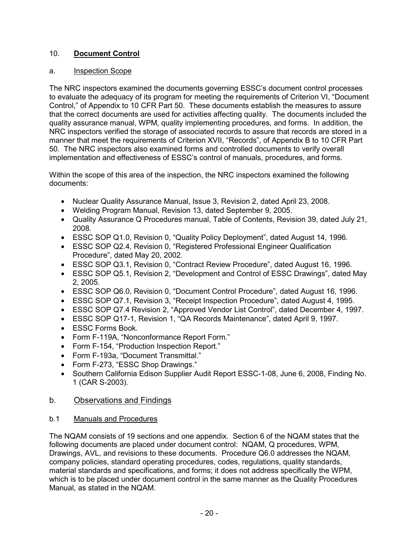# 10. **Document Control**

### a. Inspection Scope

The NRC inspectors examined the documents governing ESSC's document control processes to evaluate the adequacy of its program for meeting the requirements of Criterion VI, "Document Control," of Appendix to 10 CFR Part 50. These documents establish the measures to assure that the correct documents are used for activities affecting quality. The documents included the quality assurance manual, WPM, quality implementing procedures, and forms. In addition, the NRC inspectors verified the storage of associated records to assure that records are stored in a manner that meet the requirements of Criterion XVII, "Records", of Appendix B to 10 CFR Part 50. The NRC inspectors also examined forms and controlled documents to verify overall implementation and effectiveness of ESSC's control of manuals, procedures, and forms.

Within the scope of this area of the inspection, the NRC inspectors examined the following documents:

- Nuclear Quality Assurance Manual, Issue 3, Revision 2, dated April 23, 2008.
- Welding Program Manual, Revision 13, dated September 9, 2005.
- Quality Assurance Q Procedures manual, Table of Contents, Revision 39, dated July 21, 2008.
- ESSC SOP Q1.0, Revision 0, "Quality Policy Deployment", dated August 14, 1996.
- ESSC SOP Q2.4, Revision 0, "Registered Professional Engineer Qualification Procedure", dated May 20, 2002.
- ESSC SOP Q3.1, Revision 0, "Contract Review Procedure", dated August 16, 1996.
- ESSC SOP Q5.1, Revision 2, "Development and Control of ESSC Drawings", dated May 2, 2005.
- ESSC SOP Q6.0, Revision 0, "Document Control Procedure", dated August 16, 1996.
- ESSC SOP Q7.1, Revision 3, "Receipt Inspection Procedure", dated August 4, 1995.
- ESSC SOP Q7.4 Revision 2, "Approved Vendor List Control", dated December 4, 1997.
- ESSC SOP Q17-1, Revision 1, "QA Records Maintenance", dated April 9, 1997.
- ESSC Forms Book.
- Form F-119A, "Nonconformance Report Form."
- Form F-154, "Production Inspection Report."
- Form F-193a, "Document Transmittal."
- Form F-273, "ESSC Shop Drawings."
- Southern California Edison Supplier Audit Report ESSC-1-08, June 6, 2008, Finding No. 1 (CAR S-2003).

# b. Observations and Findings

### b.1 Manuals and Procedures

The NQAM consists of 19 sections and one appendix. Section 6 of the NQAM states that the following documents are placed under document control: NQAM, Q procedures, WPM, Drawings, AVL, and revisions to these documents. Procedure Q6.0 addresses the NQAM, company policies, standard operating procedures, codes, regulations, quality standards, material standards and specifications, and forms; it does not address specifically the WPM, which is to be placed under document control in the same manner as the Quality Procedures Manual, as stated in the NQAM.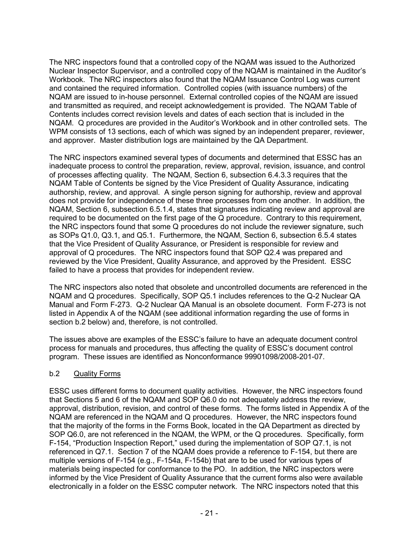The NRC inspectors found that a controlled copy of the NQAM was issued to the Authorized Nuclear Inspector Supervisor, and a controlled copy of the NQAM is maintained in the Auditor's Workbook. The NRC inspectors also found that the NQAM Issuance Control Log was current and contained the required information. Controlled copies (with issuance numbers) of the NQAM are issued to in-house personnel. External controlled copies of the NQAM are issued and transmitted as required, and receipt acknowledgement is provided. The NQAM Table of Contents includes correct revision levels and dates of each section that is included in the NQAM. Q procedures are provided in the Auditor's Workbook and in other controlled sets. The WPM consists of 13 sections, each of which was signed by an independent preparer, reviewer, and approver. Master distribution logs are maintained by the QA Department.

The NRC inspectors examined several types of documents and determined that ESSC has an inadequate process to control the preparation, review, approval, revision, issuance, and control of processes affecting quality. The NQAM, Section 6, subsection 6.4.3.3 requires that the NQAM Table of Contents be signed by the Vice President of Quality Assurance, indicating authorship, review, and approval. A single person signing for authorship, review and approval does not provide for independence of these three processes from one another. In addition, the NQAM, Section 6, subsection 6.5.1.4, states that signatures indicating review and approval are required to be documented on the first page of the Q procedure. Contrary to this requirement, the NRC inspectors found that some Q procedures do not include the reviewer signature, such as SOPs Q1.0, Q3.1, and Q5.1. Furthermore, the NQAM, Section 6, subsection 6.5.4 states that the Vice President of Quality Assurance, or President is responsible for review and approval of Q procedures. The NRC inspectors found that SOP Q2.4 was prepared and reviewed by the Vice President, Quality Assurance, and approved by the President. ESSC failed to have a process that provides for independent review.

The NRC inspectors also noted that obsolete and uncontrolled documents are referenced in the NQAM and Q procedures. Specifically, SOP Q5.1 includes references to the Q-2 Nuclear QA Manual and Form F-273. Q-2 Nuclear QA Manual is an obsolete document. Form F-273 is not listed in Appendix A of the NQAM (see additional information regarding the use of forms in section b.2 below) and, therefore, is not controlled.

The issues above are examples of the ESSC's failure to have an adequate document control process for manuals and procedures, thus affecting the quality of ESSC's document control program. These issues are identified as Nonconformance 99901098/2008-201-07.

### b.2 Quality Forms

ESSC uses different forms to document quality activities. However, the NRC inspectors found that Sections 5 and 6 of the NQAM and SOP Q6.0 do not adequately address the review, approval, distribution, revision, and control of these forms. The forms listed in Appendix A of the NQAM are referenced in the NQAM and Q procedures. However, the NRC inspectors found that the majority of the forms in the Forms Book, located in the QA Department as directed by SOP Q6.0, are not referenced in the NQAM, the WPM, or the Q procedures. Specifically, form F-154, "Production Inspection Report," used during the implementation of SOP Q7.1, is not referenced in Q7.1. Section 7 of the NQAM does provide a reference to F-154, but there are multiple versions of F-154 (e.g., F-154a, F-154b) that are to be used for various types of materials being inspected for conformance to the PO. In addition, the NRC inspectors were informed by the Vice President of Quality Assurance that the current forms also were available electronically in a folder on the ESSC computer network. The NRC inspectors noted that this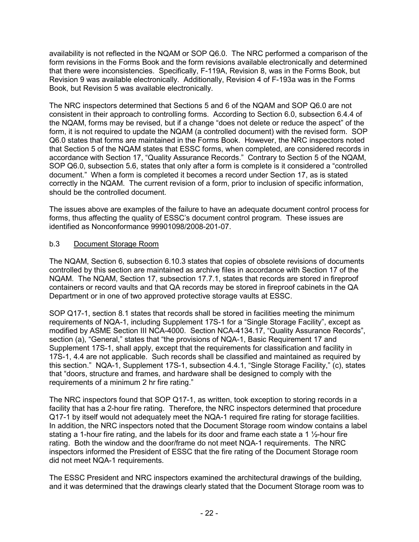availability is not reflected in the NQAM or SOP Q6.0. The NRC performed a comparison of the form revisions in the Forms Book and the form revisions available electronically and determined that there were inconsistencies. Specifically, F-119A, Revision 8, was in the Forms Book, but Revision 9 was available electronically. Additionally, Revision 4 of F-193a was in the Forms Book, but Revision 5 was available electronically.

The NRC inspectors determined that Sections 5 and 6 of the NQAM and SOP Q6.0 are not consistent in their approach to controlling forms. According to Section 6.0, subsection 6.4.4 of the NQAM, forms may be revised, but if a change "does not delete or reduce the aspect" of the form, it is not required to update the NQAM (a controlled document) with the revised form. SOP Q6.0 states that forms are maintained in the Forms Book. However, the NRC inspectors noted that Section 5 of the NQAM states that ESSC forms, when completed, are considered records in accordance with Section 17, "Quality Assurance Records." Contrary to Section 5 of the NQAM, SOP Q6.0, subsection 5.6, states that only after a form is complete is it considered a "controlled document." When a form is completed it becomes a record under Section 17, as is stated correctly in the NQAM. The current revision of a form, prior to inclusion of specific information, should be the controlled document.

The issues above are examples of the failure to have an adequate document control process for forms, thus affecting the quality of ESSC's document control program. These issues are identified as Nonconformance 99901098/2008-201-07.

### b.3 Document Storage Room

The NQAM, Section 6, subsection 6.10.3 states that copies of obsolete revisions of documents controlled by this section are maintained as archive files in accordance with Section 17 of the NQAM. The NQAM, Section 17, subsection 17.7.1, states that records are stored in fireproof containers or record vaults and that QA records may be stored in fireproof cabinets in the QA Department or in one of two approved protective storage vaults at ESSC.

SOP Q17-1, section 8.1 states that records shall be stored in facilities meeting the minimum requirements of NQA-1, including Supplement 17S-1 for a "Single Storage Facility", except as modified by ASME Section III NCA-4000. Section NCA-4134.17, "Quality Assurance Records", section (a), "General," states that "the provisions of NQA-1, Basic Requirement 17 and Supplement 17S-1, shall apply, except that the requirements for classification and facility in 17S-1, 4.4 are not applicable. Such records shall be classified and maintained as required by this section." NQA-1, Supplement 17S-1, subsection 4.4.1, "Single Storage Facility," (c), states that "doors, structure and frames, and hardware shall be designed to comply with the requirements of a minimum 2 hr fire rating."

The NRC inspectors found that SOP Q17-1, as written, took exception to storing records in a facility that has a 2-hour fire rating. Therefore, the NRC inspectors determined that procedure Q17-1 by itself would not adequately meet the NQA-1 required fire rating for storage facilities. In addition, the NRC inspectors noted that the Document Storage room window contains a label stating a 1-hour fire rating, and the labels for its door and frame each state a 1 ½-hour fire rating. Both the window and the door/frame do not meet NQA-1 requirements. The NRC inspectors informed the President of ESSC that the fire rating of the Document Storage room did not meet NQA-1 requirements.

The ESSC President and NRC inspectors examined the architectural drawings of the building, and it was determined that the drawings clearly stated that the Document Storage room was to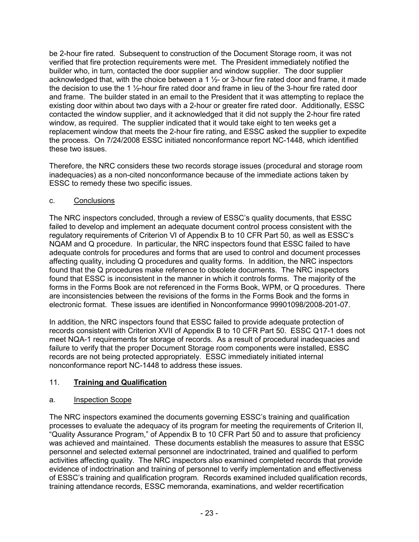be 2-hour fire rated. Subsequent to construction of the Document Storage room, it was not verified that fire protection requirements were met. The President immediately notified the builder who, in turn, contacted the door supplier and window supplier. The door supplier acknowledged that, with the choice between a 1  $\frac{1}{2}$ - or 3-hour fire rated door and frame, it made the decision to use the 1 ½-hour fire rated door and frame in lieu of the 3-hour fire rated door and frame. The builder stated in an email to the President that it was attempting to replace the existing door within about two days with a 2-hour or greater fire rated door. Additionally, ESSC contacted the window supplier, and it acknowledged that it did not supply the 2-hour fire rated window, as required. The supplier indicated that it would take eight to ten weeks get a replacement window that meets the 2-hour fire rating, and ESSC asked the supplier to expedite the process. On 7/24/2008 ESSC initiated nonconformance report NC-1448, which identified these two issues.

Therefore, the NRC considers these two records storage issues (procedural and storage room inadequacies) as a non-cited nonconformance because of the immediate actions taken by ESSC to remedy these two specific issues.

### c. Conclusions

The NRC inspectors concluded, through a review of ESSC's quality documents, that ESSC failed to develop and implement an adequate document control process consistent with the regulatory requirements of Criterion VI of Appendix B to 10 CFR Part 50, as well as ESSC's NQAM and Q procedure. In particular, the NRC inspectors found that ESSC failed to have adequate controls for procedures and forms that are used to control and document processes affecting quality, including Q procedures and quality forms. In addition, the NRC inspectors found that the Q procedures make reference to obsolete documents. The NRC inspectors found that ESSC is inconsistent in the manner in which it controls forms. The majority of the forms in the Forms Book are not referenced in the Forms Book, WPM, or Q procedures. There are inconsistencies between the revisions of the forms in the Forms Book and the forms in electronic format. These issues are identified in Nonconformance 99901098/2008-201-07.

In addition, the NRC inspectors found that ESSC failed to provide adequate protection of records consistent with Criterion XVII of Appendix B to 10 CFR Part 50. ESSC Q17-1 does not meet NQA-1 requirements for storage of records. As a result of procedural inadequacies and failure to verify that the proper Document Storage room components were installed, ESSC records are not being protected appropriately. ESSC immediately initiated internal nonconformance report NC-1448 to address these issues.

### 11. **Training and Qualification**

### a. Inspection Scope

The NRC inspectors examined the documents governing ESSC's training and qualification processes to evaluate the adequacy of its program for meeting the requirements of Criterion II, "Quality Assurance Program," of Appendix B to 10 CFR Part 50 and to assure that proficiency was achieved and maintained. These documents establish the measures to assure that ESSC personnel and selected external personnel are indoctrinated, trained and qualified to perform activities affecting quality. The NRC inspectors also examined completed records that provide evidence of indoctrination and training of personnel to verify implementation and effectiveness of ESSC's training and qualification program. Records examined included qualification records, training attendance records, ESSC memoranda, examinations, and welder recertification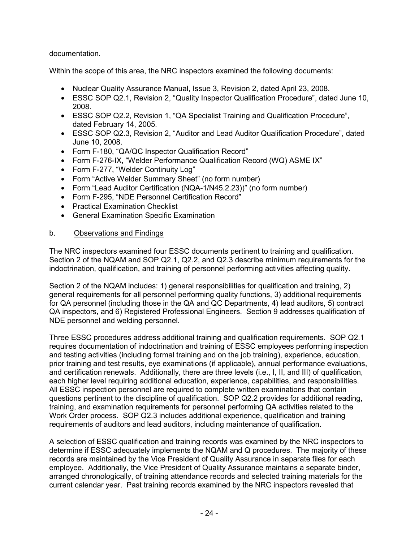### documentation.

Within the scope of this area, the NRC inspectors examined the following documents:

- Nuclear Quality Assurance Manual, Issue 3, Revision 2, dated April 23, 2008.
- ESSC SOP Q2.1, Revision 2, "Quality Inspector Qualification Procedure", dated June 10, 2008.
- ESSC SOP Q2.2, Revision 1, "QA Specialist Training and Qualification Procedure", dated February 14, 2005.
- ESSC SOP Q2.3, Revision 2, "Auditor and Lead Auditor Qualification Procedure", dated June 10, 2008.
- Form F-180, "QA/QC Inspector Qualification Record"
- Form F-276-IX, "Welder Performance Qualification Record (WQ) ASME IX"
- Form F-277, "Welder Continuity Log"
- Form "Active Welder Summary Sheet" (no form number)
- Form "Lead Auditor Certification (NQA-1/N45.2.23))" (no form number)
- Form F-295, "NDE Personnel Certification Record"
- Practical Examination Checklist
- General Examination Specific Examination

### b. Observations and Findings

The NRC inspectors examined four ESSC documents pertinent to training and qualification. Section 2 of the NQAM and SOP Q2.1, Q2.2, and Q2.3 describe minimum requirements for the indoctrination, qualification, and training of personnel performing activities affecting quality.

Section 2 of the NQAM includes: 1) general responsibilities for qualification and training, 2) general requirements for all personnel performing quality functions, 3) additional requirements for QA personnel (including those in the QA and QC Departments, 4) lead auditors, 5) contract QA inspectors, and 6) Registered Professional Engineers. Section 9 addresses qualification of NDE personnel and welding personnel.

Three ESSC procedures address additional training and qualification requirements. SOP Q2.1 requires documentation of indoctrination and training of ESSC employees performing inspection and testing activities (including formal training and on the job training), experience, education, prior training and test results, eye examinations (if applicable), annual performance evaluations, and certification renewals. Additionally, there are three levels (i.e., I, II, and III) of qualification, each higher level requiring additional education, experience, capabilities, and responsibilities. All ESSC inspection personnel are required to complete written examinations that contain questions pertinent to the discipline of qualification. SOP Q2.2 provides for additional reading, training, and examination requirements for personnel performing QA activities related to the Work Order process. SOP Q2.3 includes additional experience, qualification and training requirements of auditors and lead auditors, including maintenance of qualification.

A selection of ESSC qualification and training records was examined by the NRC inspectors to determine if ESSC adequately implements the NQAM and Q procedures. The majority of these records are maintained by the Vice President of Quality Assurance in separate files for each employee. Additionally, the Vice President of Quality Assurance maintains a separate binder, arranged chronologically, of training attendance records and selected training materials for the current calendar year. Past training records examined by the NRC inspectors revealed that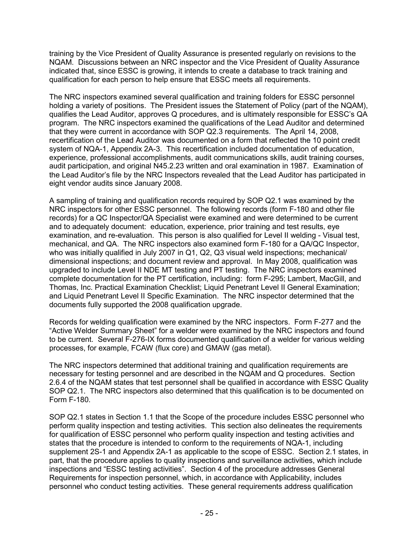training by the Vice President of Quality Assurance is presented regularly on revisions to the NQAM. Discussions between an NRC inspector and the Vice President of Quality Assurance indicated that, since ESSC is growing, it intends to create a database to track training and qualification for each person to help ensure that ESSC meets all requirements.

The NRC inspectors examined several qualification and training folders for ESSC personnel holding a variety of positions. The President issues the Statement of Policy (part of the NQAM), qualifies the Lead Auditor, approves Q procedures, and is ultimately responsible for ESSC's QA program. The NRC inspectors examined the qualifications of the Lead Auditor and determined that they were current in accordance with SOP Q2.3 requirements. The April 14, 2008, recertification of the Lead Auditor was documented on a form that reflected the 10 point credit system of NQA-1, Appendix 2A-3. This recertification included documentation of education, experience, professional accomplishments, audit communications skills, audit training courses, audit participation, and original N45.2.23 written and oral examination in 1987. Examination of the Lead Auditor's file by the NRC Inspectors revealed that the Lead Auditor has participated in eight vendor audits since January 2008.

A sampling of training and qualification records required by SOP Q2.1 was examined by the NRC inspectors for other ESSC personnel. The following records (form F-180 and other file records) for a QC Inspector/QA Specialist were examined and were determined to be current and to adequately document: education, experience, prior training and test results, eye examination, and re-evaluation. This person is also qualified for Level II welding - Visual test, mechanical, and QA. The NRC inspectors also examined form F-180 for a QA/QC Inspector, who was initially qualified in July 2007 in Q1, Q2, Q3 visual weld inspections; mechanical/ dimensional inspections; and document review and approval. In May 2008, qualification was upgraded to include Level II NDE MT testing and PT testing. The NRC inspectors examined complete documentation for the PT certification, including: form F-295; Lambert, MacGill, and Thomas, Inc. Practical Examination Checklist; Liquid Penetrant Level II General Examination; and Liquid Penetrant Level II Specific Examination. The NRC inspector determined that the documents fully supported the 2008 qualification upgrade.

Records for welding qualification were examined by the NRC inspectors. Form F-277 and the "Active Welder Summary Sheet" for a welder were examined by the NRC inspectors and found to be current. Several F-276-IX forms documented qualification of a welder for various welding processes, for example, FCAW (flux core) and GMAW (gas metal).

The NRC inspectors determined that additional training and qualification requirements are necessary for testing personnel and are described in the NQAM and Q procedures. Section 2.6.4 of the NQAM states that test personnel shall be qualified in accordance with ESSC Quality SOP Q2.1. The NRC inspectors also determined that this qualification is to be documented on Form F-180.

SOP Q2.1 states in Section 1.1 that the Scope of the procedure includes ESSC personnel who perform quality inspection and testing activities. This section also delineates the requirements for qualification of ESSC personnel who perform quality inspection and testing activities and states that the procedure is intended to conform to the requirements of NQA-1, including supplement 2S-1 and Appendix 2A-1 as applicable to the scope of ESSC. Section 2.1 states, in part, that the procedure applies to quality inspections and surveillance activities, which include inspections and "ESSC testing activities". Section 4 of the procedure addresses General Requirements for inspection personnel, which, in accordance with Applicability, includes personnel who conduct testing activities. These general requirements address qualification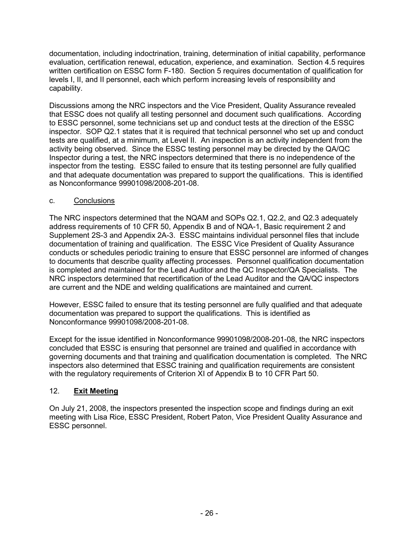documentation, including indoctrination, training, determination of initial capability, performance evaluation, certification renewal, education, experience, and examination. Section 4.5 requires written certification on ESSC form F-180. Section 5 requires documentation of qualification for levels I, II, and II personnel, each which perform increasing levels of responsibility and capability.

Discussions among the NRC inspectors and the Vice President, Quality Assurance revealed that ESSC does not qualify all testing personnel and document such qualifications. According to ESSC personnel, some technicians set up and conduct tests at the direction of the ESSC inspector. SOP Q2.1 states that it is required that technical personnel who set up and conduct tests are qualified, at a minimum, at Level II. An inspection is an activity independent from the activity being observed. Since the ESSC testing personnel may be directed by the QA/QC Inspector during a test, the NRC inspectors determined that there is no independence of the inspector from the testing. ESSC failed to ensure that its testing personnel are fully qualified and that adequate documentation was prepared to support the qualifications. This is identified as Nonconformance 99901098/2008-201-08.

### c. Conclusions

The NRC inspectors determined that the NQAM and SOPs Q2.1, Q2.2, and Q2.3 adequately address requirements of 10 CFR 50, Appendix B and of NQA-1, Basic requirement 2 and Supplement 2S-3 and Appendix 2A-3. ESSC maintains individual personnel files that include documentation of training and qualification. The ESSC Vice President of Quality Assurance conducts or schedules periodic training to ensure that ESSC personnel are informed of changes to documents that describe quality affecting processes. Personnel qualification documentation is completed and maintained for the Lead Auditor and the QC Inspector/QA Specialists. The NRC inspectors determined that recertification of the Lead Auditor and the QA/QC inspectors are current and the NDE and welding qualifications are maintained and current.

However, ESSC failed to ensure that its testing personnel are fully qualified and that adequate documentation was prepared to support the qualifications. This is identified as Nonconformance 99901098/2008-201-08.

Except for the issue identified in Nonconformance 99901098/2008-201-08, the NRC inspectors concluded that ESSC is ensuring that personnel are trained and qualified in accordance with governing documents and that training and qualification documentation is completed. The NRC inspectors also determined that ESSC training and qualification requirements are consistent with the regulatory requirements of Criterion XI of Appendix B to 10 CFR Part 50.

### 12. **Exit Meeting**

On July 21, 2008, the inspectors presented the inspection scope and findings during an exit meeting with Lisa Rice, ESSC President, Robert Paton, Vice President Quality Assurance and ESSC personnel.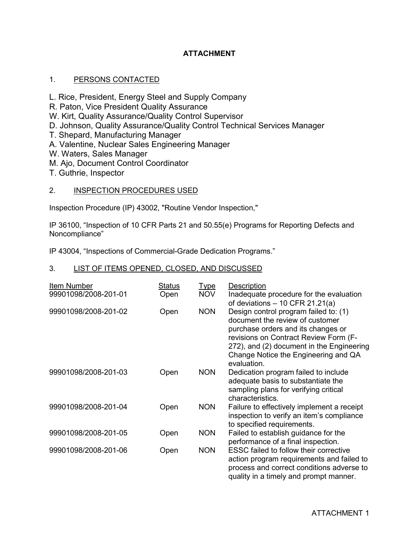### **ATTACHMENT**

### 1. PERSONS CONTACTED

- L. Rice, President, Energy Steel and Supply Company
- R. Paton, Vice President Quality Assurance
- W. Kirt, Quality Assurance/Quality Control Supervisor
- D. Johnson, Quality Assurance/Quality Control Technical Services Manager
- T. Shepard, Manufacturing Manager
- A. Valentine, Nuclear Sales Engineering Manager
- W. Waters, Sales Manager
- M. Ajo, Document Control Coordinator
- T. Guthrie, Inspector

#### 2. INSPECTION PROCEDURES USED

Inspection Procedure (IP) 43002, "Routine Vendor Inspection,"

IP 36100, "Inspection of 10 CFR Parts 21 and 50.55(e) Programs for Reporting Defects and Noncompliance"

IP 43004, "Inspections of Commercial-Grade Dedication Programs."

### 3. LIST OF ITEMS OPENED, CLOSED, AND DISCUSSED

| Item Number<br>99901098/2008-201-01 | <u>Status</u><br>Open | <u>Type</u><br><b>NOV</b> | Description<br>Inadequate procedure for the evaluation<br>of deviations $-10$ CFR 21.21(a)                                                                                                                                                                  |
|-------------------------------------|-----------------------|---------------------------|-------------------------------------------------------------------------------------------------------------------------------------------------------------------------------------------------------------------------------------------------------------|
| 99901098/2008-201-02                | Open                  | <b>NON</b>                | Design control program failed to: (1)<br>document the review of customer<br>purchase orders and its changes or<br>revisions on Contract Review Form (F-<br>272), and (2) document in the Engineering<br>Change Notice the Engineering and QA<br>evaluation. |
| 99901098/2008-201-03                | Open                  | <b>NON</b>                | Dedication program failed to include<br>adequate basis to substantiate the<br>sampling plans for verifying critical<br>characteristics.                                                                                                                     |
| 99901098/2008-201-04                | Open                  | <b>NON</b>                | Failure to effectively implement a receipt<br>inspection to verify an item's compliance<br>to specified requirements.                                                                                                                                       |
| 99901098/2008-201-05                | Open                  | <b>NON</b>                | Failed to establish guidance for the<br>performance of a final inspection.                                                                                                                                                                                  |
| 99901098/2008-201-06                | Open                  | <b>NON</b>                | ESSC failed to follow their corrective<br>action program requirements and failed to<br>process and correct conditions adverse to<br>quality in a timely and prompt manner.                                                                                  |